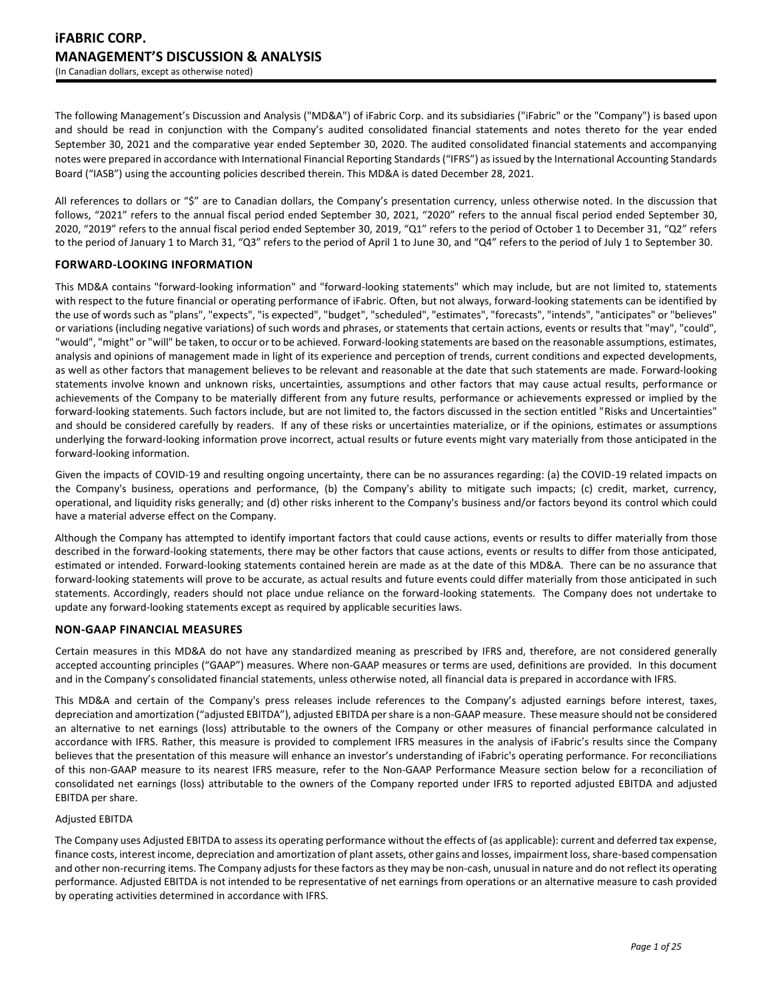The following Management's Discussion and Analysis ("MD&A") of iFabric Corp. and its subsidiaries ("iFabric" or the "Company") is based upon and should be read in conjunction with the Company's audited consolidated financial statements and notes thereto for the year ended September 30, 2021 and the comparative year ended September 30, 2020. The audited consolidated financial statements and accompanying notes were prepared in accordance with International Financial Reporting Standards ("IFRS") as issued by the International Accounting Standards Board ("IASB") using the accounting policies described therein. This MD&A is dated December 28, 2021.

All references to dollars or "\$" are to Canadian dollars, the Company's presentation currency, unless otherwise noted. In the discussion that follows, "2021" refers to the annual fiscal period ended September 30, 2021, "2020" refers to the annual fiscal period ended September 30, 2020, "2019" refers to the annual fiscal period ended September 30, 2019, "Q1" refers to the period of October 1 to December 31, "Q2" refers to the period of January 1 to March 31, "Q3" refers to the period of April 1 to June 30, and "Q4" refers to the period of July 1 to September 30.

# **FORWARD-LOOKING INFORMATION**

This MD&A contains "forward-looking information" and "forward-looking statements" which may include, but are not limited to, statements with respect to the future financial or operating performance of iFabric. Often, but not always, forward-looking statements can be identified by the use of words such as "plans", "expects", "is expected", "budget", "scheduled", "estimates", "forecasts", "intends", "anticipates" or "believes" or variations (including negative variations) of such words and phrases, or statements that certain actions, events or results that "may", "could", "would", "might" or "will" be taken, to occur or to be achieved. Forward-looking statements are based on the reasonable assumptions, estimates, analysis and opinions of management made in light of its experience and perception of trends, current conditions and expected developments, as well as other factors that management believes to be relevant and reasonable at the date that such statements are made. Forward-looking statements involve known and unknown risks, uncertainties, assumptions and other factors that may cause actual results, performance or achievements of the Company to be materially different from any future results, performance or achievements expressed or implied by the forward-looking statements. Such factors include, but are not limited to, the factors discussed in the section entitled "Risks and Uncertainties" and should be considered carefully by readers. If any of these risks or uncertainties materialize, or if the opinions, estimates or assumptions underlying the forward-looking information prove incorrect, actual results or future events might vary materially from those anticipated in the forward-looking information.

Given the impacts of COVID-19 and resulting ongoing uncertainty, there can be no assurances regarding: (a) the COVID-19 related impacts on the Company's business, operations and performance, (b) the Company's ability to mitigate such impacts; (c) credit, market, currency, operational, and liquidity risks generally; and (d) other risks inherent to the Company's business and/or factors beyond its control which could have a material adverse effect on the Company.

Although the Company has attempted to identify important factors that could cause actions, events or results to differ materially from those described in the forward-looking statements, there may be other factors that cause actions, events or results to differ from those anticipated, estimated or intended. Forward-looking statements contained herein are made as at the date of this MD&A. There can be no assurance that forward-looking statements will prove to be accurate, as actual results and future events could differ materially from those anticipated in such statements. Accordingly, readers should not place undue reliance on the forward-looking statements. The Company does not undertake to update any forward-looking statements except as required by applicable securities laws.

# **NON-GAAP FINANCIAL MEASURES**

Certain measures in this MD&A do not have any standardized meaning as prescribed by IFRS and, therefore, are not considered generally accepted accounting principles ("GAAP") measures. Where non-GAAP measures or terms are used, definitions are provided. In this document and in the Company's consolidated financial statements, unless otherwise noted, all financial data is prepared in accordance with IFRS.

This MD&A and certain of the Company's press releases include references to the Company's adjusted earnings before interest, taxes, depreciation and amortization ("adjusted EBITDA"), adjusted EBITDA per share is a non-GAAP measure. These measure should not be considered an alternative to net earnings (loss) attributable to the owners of the Company or other measures of financial performance calculated in accordance with IFRS. Rather, this measure is provided to complement IFRS measures in the analysis of iFabric's results since the Company believes that the presentation of this measure will enhance an investor's understanding of iFabric's operating performance. For reconciliations of this non-GAAP measure to its nearest IFRS measure, refer to the Non-GAAP Performance Measure section below for a reconciliation of consolidated net earnings (loss) attributable to the owners of the Company reported under IFRS to reported adjusted EBITDA and adjusted EBITDA per share.

### Adjusted EBITDA

The Company uses Adjusted EBITDA to assess its operating performance without the effects of (as applicable): current and deferred tax expense, finance costs, interest income, depreciation and amortization of plant assets, other gains and losses, impairment loss, share-based compensation and other non-recurring items. The Company adjusts for these factors as they may be non-cash, unusual in nature and do not reflect its operating performance. Adjusted EBITDA is not intended to be representative of net earnings from operations or an alternative measure to cash provided by operating activities determined in accordance with IFRS.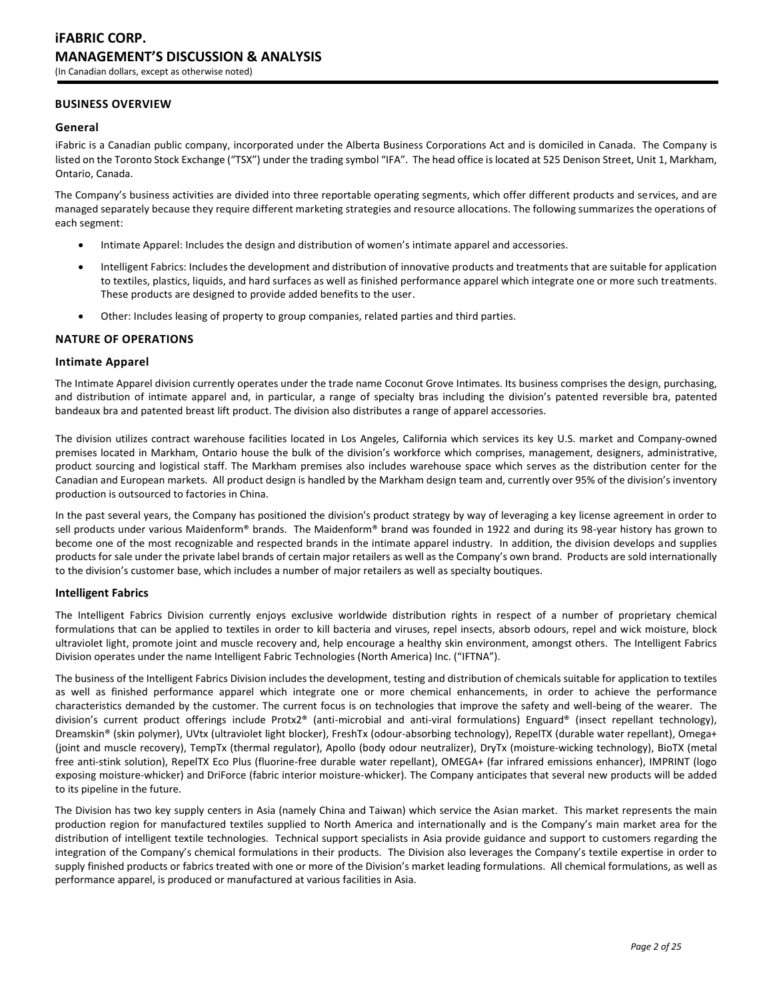# **BUSINESS OVERVIEW**

### **General**

iFabric is a Canadian public company, incorporated under the Alberta Business Corporations Act and is domiciled in Canada. The Company is listed on the Toronto Stock Exchange ("TSX") under the trading symbol "IFA". The head office is located at 525 Denison Street, Unit 1, Markham, Ontario, Canada.

The Company's business activities are divided into three reportable operating segments, which offer different products and services, and are managed separately because they require different marketing strategies and resource allocations. The following summarizes the operations of each segment:

- Intimate Apparel: Includes the design and distribution of women's intimate apparel and accessories.
- Intelligent Fabrics: Includes the development and distribution of innovative products and treatments that are suitable for application to textiles, plastics, liquids, and hard surfaces as well as finished performance apparel which integrate one or more such treatments. These products are designed to provide added benefits to the user.
- Other: Includes leasing of property to group companies, related parties and third parties.

#### **NATURE OF OPERATIONS**

#### **Intimate Apparel**

The Intimate Apparel division currently operates under the trade name Coconut Grove Intimates. Its business comprises the design, purchasing, and distribution of intimate apparel and, in particular, a range of specialty bras including the division's patented reversible bra, patented bandeaux bra and patented breast lift product. The division also distributes a range of apparel accessories.

The division utilizes contract warehouse facilities located in Los Angeles, California which services its key U.S. market and Company-owned premises located in Markham, Ontario house the bulk of the division's workforce which comprises, management, designers, administrative, product sourcing and logistical staff. The Markham premises also includes warehouse space which serves as the distribution center for the Canadian and European markets. All product design is handled by the Markham design team and, currently over 95% of the division's inventory production is outsourced to factories in China.

In the past several years, the Company has positioned the division's product strategy by way of leveraging a key license agreement in order to sell products under various Maidenform® brands. The Maidenform® brand was founded in 1922 and during its 98-year history has grown to become one of the most recognizable and respected brands in the intimate apparel industry. In addition, the division develops and supplies products for sale under the private label brands of certain major retailers as well as the Company's own brand. Products are sold internationally to the division's customer base, which includes a number of major retailers as well as specialty boutiques.

#### **Intelligent Fabrics**

The Intelligent Fabrics Division currently enjoys exclusive worldwide distribution rights in respect of a number of proprietary chemical formulations that can be applied to textiles in order to kill bacteria and viruses, repel insects, absorb odours, repel and wick moisture, block ultraviolet light, promote joint and muscle recovery and, help encourage a healthy skin environment, amongst others. The Intelligent Fabrics Division operates under the name Intelligent Fabric Technologies (North America) Inc. ("IFTNA").

The business of the Intelligent Fabrics Division includes the development, testing and distribution of chemicals suitable for application to textiles as well as finished performance apparel which integrate one or more chemical enhancements, in order to achieve the performance characteristics demanded by the customer. The current focus is on technologies that improve the safety and well-being of the wearer. The division's current product offerings include Protx2® (anti-microbial and anti-viral formulations) Enguard® (insect repellant technology), Dreamskin® (skin polymer), UVtx (ultraviolet light blocker), FreshTx (odour-absorbing technology), RepelTX (durable water repellant), Omega+ (joint and muscle recovery), TempTx (thermal regulator), Apollo (body odour neutralizer), DryTx (moisture-wicking technology), BioTX (metal free anti-stink solution), RepelTX Eco Plus (fluorine-free durable water repellant), OMEGA+ (far infrared emissions enhancer), IMPRINT (logo exposing moisture-whicker) and DriForce (fabric interior moisture-whicker). The Company anticipates that several new products will be added to its pipeline in the future.

The Division has two key supply centers in Asia (namely China and Taiwan) which service the Asian market. This market represents the main production region for manufactured textiles supplied to North America and internationally and is the Company's main market area for the distribution of intelligent textile technologies. Technical support specialists in Asia provide guidance and support to customers regarding the integration of the Company's chemical formulations in their products. The Division also leverages the Company's textile expertise in order to supply finished products or fabrics treated with one or more of the Division's market leading formulations. All chemical formulations, as well as performance apparel, is produced or manufactured at various facilities in Asia.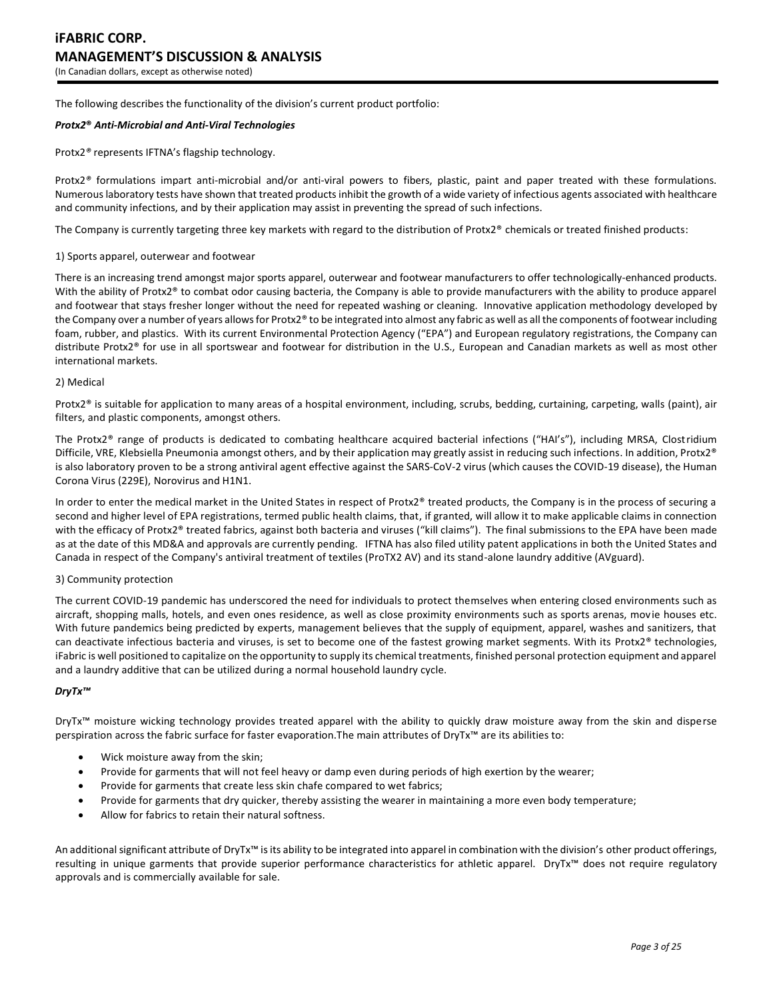The following describes the functionality of the division's current product portfolio:

### *Protx2***®** *Anti-Microbial and Anti-Viral Technologies*

Protx2*®* represents IFTNA's flagship technology.

Protx2*®* formulations impart anti-microbial and/or anti-viral powers to fibers, plastic, paint and paper treated with these formulations. Numerous laboratory tests have shown that treated products inhibit the growth of a wide variety of infectious agents associated with healthcare and community infections, and by their application may assist in preventing the spread of such infections.

The Company is currently targeting three key markets with regard to the distribution of Protx2® chemicals or treated finished products:

#### 1) Sports apparel, outerwear and footwear

There is an increasing trend amongst major sports apparel, outerwear and footwear manufacturers to offer technologically-enhanced products. With the ability of Protx2® to combat odor causing bacteria, the Company is able to provide manufacturers with the ability to produce apparel and footwear that stays fresher longer without the need for repeated washing or cleaning. Innovative application methodology developed by the Company over a number of years allows for Protx2® to be integrated into almost any fabric as well as all the components of footwear including foam, rubber, and plastics. With its current Environmental Protection Agency ("EPA") and European regulatory registrations, the Company can distribute Protx2® for use in all sportswear and footwear for distribution in the U.S., European and Canadian markets as well as most other international markets.

#### 2) Medical

Protx2® is suitable for application to many areas of a hospital environment, including, scrubs, bedding, curtaining, carpeting, walls (paint), air filters, and plastic components, amongst others.

The Protx2® range of products is dedicated to combating healthcare acquired bacterial infections ("HAI's"), including MRSA, Clostridium Difficile, VRE, Klebsiella Pneumonia amongst others, and by their application may greatly assist in reducing such infections. In addition, Protx2<sup>®</sup> is also laboratory proven to be a strong antiviral agent effective against the SARS-CoV-2 virus (which causes the COVID-19 disease), the Human Corona Virus (229E), Norovirus and H1N1.

In order to enter the medical market in the United States in respect of Protx2® treated products, the Company is in the process of securing a second and higher level of EPA registrations, termed public health claims, that, if granted, will allow it to make applicable claims in connection with the efficacy of Protx2® treated fabrics, against both bacteria and viruses ("kill claims"). The final submissions to the EPA have been made as at the date of this MD&A and approvals are currently pending. IFTNA has also filed utility patent applications in both the United States and Canada in respect of the Company's antiviral treatment of textiles (ProTX2 AV) and its stand-alone laundry additive (AVguard).

#### 3) Community protection

The current COVID-19 pandemic has underscored the need for individuals to protect themselves when entering closed environments such as aircraft, shopping malls, hotels, and even ones residence, as well as close proximity environments such as sports arenas, movie houses etc. With future pandemics being predicted by experts, management believes that the supply of equipment, apparel, washes and sanitizers, that can deactivate infectious bacteria and viruses, is set to become one of the fastest growing market segments. With its Protx2® technologies, iFabric is well positioned to capitalize on the opportunity to supply its chemical treatments, finished personal protection equipment and apparel and a laundry additive that can be utilized during a normal household laundry cycle.

### *DryTx™*

DryTx™ moisture wicking technology provides treated apparel with the ability to quickly draw moisture away from the skin and disperse perspiration across the fabric surface for faster evaporation.The main attributes of DryTx™ are its abilities to:

- Wick moisture away from the skin;
- Provide for garments that will not feel heavy or damp even during periods of high exertion by the wearer;
- Provide for garments that create less skin chafe compared to wet fabrics;
- Provide for garments that dry quicker, thereby assisting the wearer in maintaining a more even body temperature;
- Allow for fabrics to retain their natural softness.

An additional significant attribute of DryTx<sup>™</sup> is its ability to be integrated into apparel in combination with the division's other product offerings, resulting in unique garments that provide superior performance characteristics for athletic apparel. DryTx™ does not require regulatory approvals and is commercially available for sale.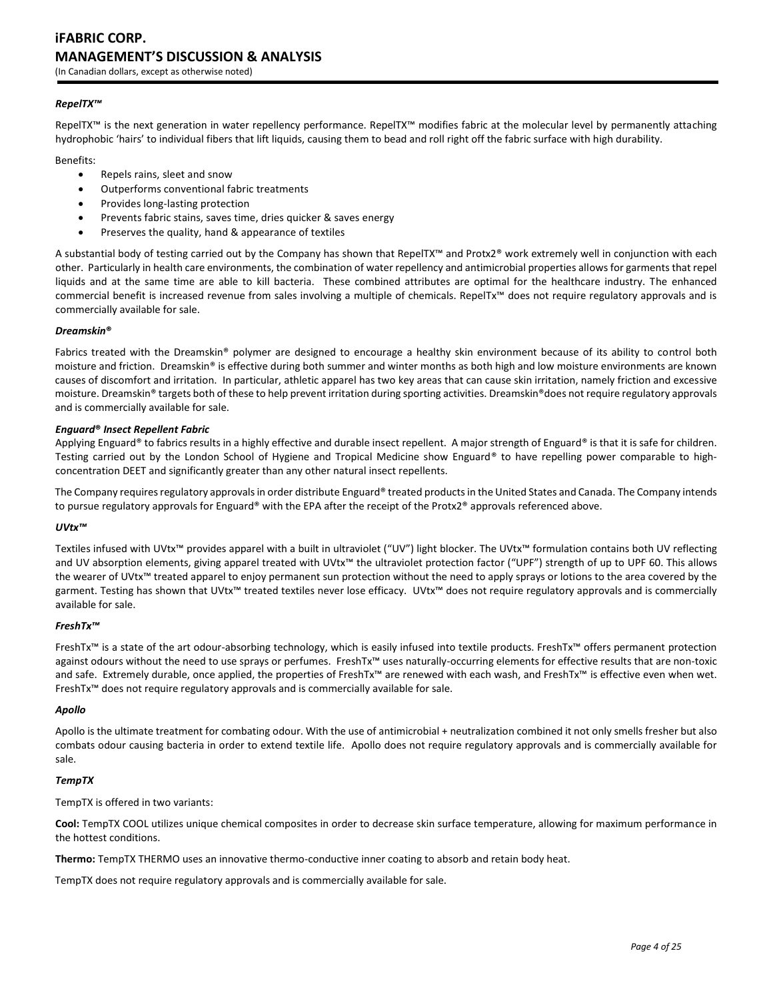# **iFABRIC CORP. MANAGEMENT'S DISCUSSION & ANALYSIS**

(In Canadian dollars, except as otherwise noted)

# *RepelTX™*

RepelTX™ is the next generation in water repellency performance. RepelTX™ modifies fabric at the molecular level by permanently attaching hydrophobic 'hairs' to individual fibers that lift liquids, causing them to bead and roll right off the fabric surface with high durability.

Benefits:

- Repels rains, sleet and snow
- Outperforms conventional fabric treatments
- Provides long-lasting protection
- Prevents fabric stains, saves time, dries quicker & saves energy
- Preserves the quality, hand & appearance of textiles

A substantial body of testing carried out by the Company has shown that RepelTX™ and Protx2® work extremely well in conjunction with each other. Particularly in health care environments, the combination of water repellency and antimicrobial properties allows for garments that repel liquids and at the same time are able to kill bacteria. These combined attributes are optimal for the healthcare industry. The enhanced commercial benefit is increased revenue from sales involving a multiple of chemicals. RepelTx™ does not require regulatory approvals and is commercially available for sale.

# *Dreamskin***®**

Fabrics treated with the Dreamskin® polymer are designed to encourage a healthy skin environment because of its ability to control both moisture and friction. Dreamskin® is effective during both summer and winter months as both high and low moisture environments are known causes of discomfort and irritation. In particular, athletic apparel has two key areas that can cause skin irritation, namely friction and excessive moisture. Dreamskin® targets both of these to help prevent irritation during sporting activities. Dreamskin®does not require regulatory approvals and is commercially available for sale.

### *Enguard***®** *Insect Repellent Fabric*

Applying Enguard® to fabrics results in a highly effective and durable insect repellent. A major strength of Enguard® is that it is safe for children. Testing carried out by the London School of Hygiene and Tropical Medicine show Enguard® to have repelling power comparable to highconcentration DEET and significantly greater than any other natural insect repellents.

The Company requires regulatory approvals in order distribute Enguard® treated products in the United States and Canada. The Company intends to pursue regulatory approvals for Enguard® with the EPA after the receipt of the Protx2® approvals referenced above.

### *UVtx™*

Textiles infused with UVtx™ provides apparel with a built in ultraviolet ("UV") light blocker. The UVtx™ formulation contains both UV reflecting and UV absorption elements, giving apparel treated with UVtx™ the ultraviolet protection factor ("UPF") strength of up to UPF 60. This allows the wearer of UVtx™ treated apparel to enjoy permanent sun protection without the need to apply sprays or lotions to the area covered by the garment. Testing has shown that UVtx™ treated textiles never lose efficacy. UVtx™ does not require regulatory approvals and is commercially available for sale.

### *FreshTx™*

FreshTx™ is a state of the art odour-absorbing technology, which is easily infused into textile products. FreshTx™ offers permanent protection against odours without the need to use sprays or perfumes. FreshTx™ uses naturally-occurring elements for effective results that are non-toxic and safe. Extremely durable, once applied, the properties of FreshTx™ are renewed with each wash, and FreshTx™ is effective even when wet. FreshTx™ does not require regulatory approvals and is commercially available for sale.

#### *Apollo*

Apollo is the ultimate treatment for combating odour. With the use of antimicrobial + neutralization combined it not only smells fresher but also combats odour causing bacteria in order to extend textile life. Apollo does not require regulatory approvals and is commercially available for sale.

### *TempTX*

TempTX is offered in two variants:

**Cool:** TempTX COOL utilizes unique chemical composites in order to decrease skin surface temperature, allowing for maximum performance in the hottest conditions.

**Thermo:** TempTX THERMO uses an innovative thermo-conductive inner coating to absorb and retain body heat.

TempTX does not require regulatory approvals and is commercially available for sale.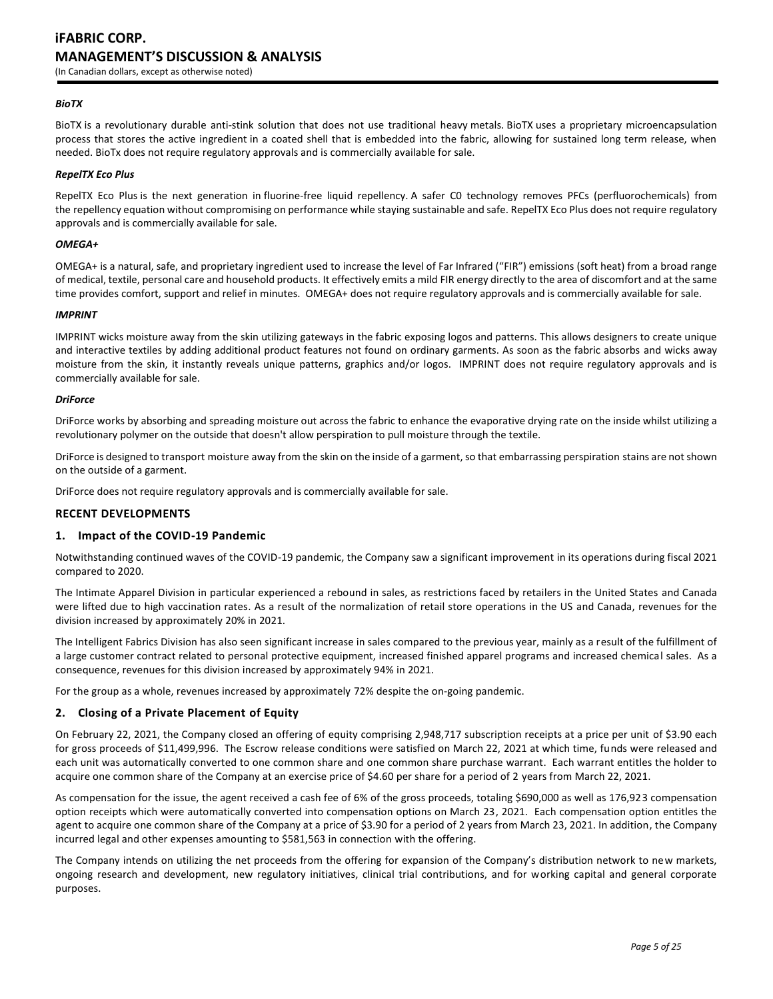# **iFABRIC CORP. MANAGEMENT'S DISCUSSION & ANALYSIS** (In Canadian dollars, except as otherwise noted)

#### *BioTX*

BioTX is a revolutionary durable anti-stink solution that does not use traditional heavy metals. BioTX uses a proprietary microencapsulation process that stores the active ingredient in a coated shell that is embedded into the fabric, allowing for sustained long term release, when needed. BioTx does not require regulatory approvals and is commercially available for sale.

# *RepelTX Eco Plus*

RepelTX Eco Plus is the next generation in fluorine-free liquid repellency. A safer C0 technology removes PFCs (perfluorochemicals) from the repellency equation without compromising on performance while staying sustainable and safe. RepelTX Eco Plus does not require regulatory approvals and is commercially available for sale.

### *OMEGA+*

OMEGA+ is a natural, safe, and proprietary ingredient used to increase the level of Far Infrared ("FIR") emissions (soft heat) from a broad range of medical, textile, personal care and household products. It effectively emits a mild FIR energy directly to the area of discomfort and at the same time provides comfort, support and relief in minutes. OMEGA+ does not require regulatory approvals and is commercially available for sale.

#### *IMPRINT*

IMPRINT wicks moisture away from the skin utilizing gateways in the fabric exposing logos and patterns. This allows designers to create unique and interactive textiles by adding additional product features not found on ordinary garments. As soon as the fabric absorbs and wicks away moisture from the skin, it instantly reveals unique patterns, graphics and/or logos. IMPRINT does not require regulatory approvals and is commercially available for sale.

#### *DriForce*

DriForce works by absorbing and spreading moisture out across the fabric to enhance the evaporative drying rate on the inside whilst utilizing a revolutionary polymer on the outside that doesn't allow perspiration to pull moisture through the textile.

DriForce is designed to transport moisture away from the skin on the inside of a garment, so that embarrassing perspiration stains are not shown on the outside of a garment.

DriForce does not require regulatory approvals and is commercially available for sale.

### **RECENT DEVELOPMENTS**

### **1. Impact of the COVID-19 Pandemic**

Notwithstanding continued waves of the COVID-19 pandemic, the Company saw a significant improvement in its operations during fiscal 2021 compared to 2020.

The Intimate Apparel Division in particular experienced a rebound in sales, as restrictions faced by retailers in the United States and Canada were lifted due to high vaccination rates. As a result of the normalization of retail store operations in the US and Canada, revenues for the division increased by approximately 20% in 2021.

The Intelligent Fabrics Division has also seen significant increase in sales compared to the previous year, mainly as a result of the fulfillment of a large customer contract related to personal protective equipment, increased finished apparel programs and increased chemical sales. As a consequence, revenues for this division increased by approximately 94% in 2021.

For the group as a whole, revenues increased by approximately 72% despite the on-going pandemic.

### **2. Closing of a Private Placement of Equity**

On February 22, 2021, the Company closed an offering of equity comprising 2,948,717 subscription receipts at a price per unit of \$3.90 each for gross proceeds of \$11,499,996. The Escrow release conditions were satisfied on March 22, 2021 at which time, funds were released and each unit was automatically converted to one common share and one common share purchase warrant. Each warrant entitles the holder to acquire one common share of the Company at an exercise price of \$4.60 per share for a period of 2 years from March 22, 2021.

As compensation for the issue, the agent received a cash fee of 6% of the gross proceeds, totaling \$690,000 as well as 176,923 compensation option receipts which were automatically converted into compensation options on March 23, 2021. Each compensation option entitles the agent to acquire one common share of the Company at a price of \$3.90 for a period of 2 years from March 23, 2021. In addition, the Company incurred legal and other expenses amounting to \$581,563 in connection with the offering.

The Company intends on utilizing the net proceeds from the offering for expansion of the Company's distribution network to new markets, ongoing research and development, new regulatory initiatives, clinical trial contributions, and for working capital and general corporate purposes.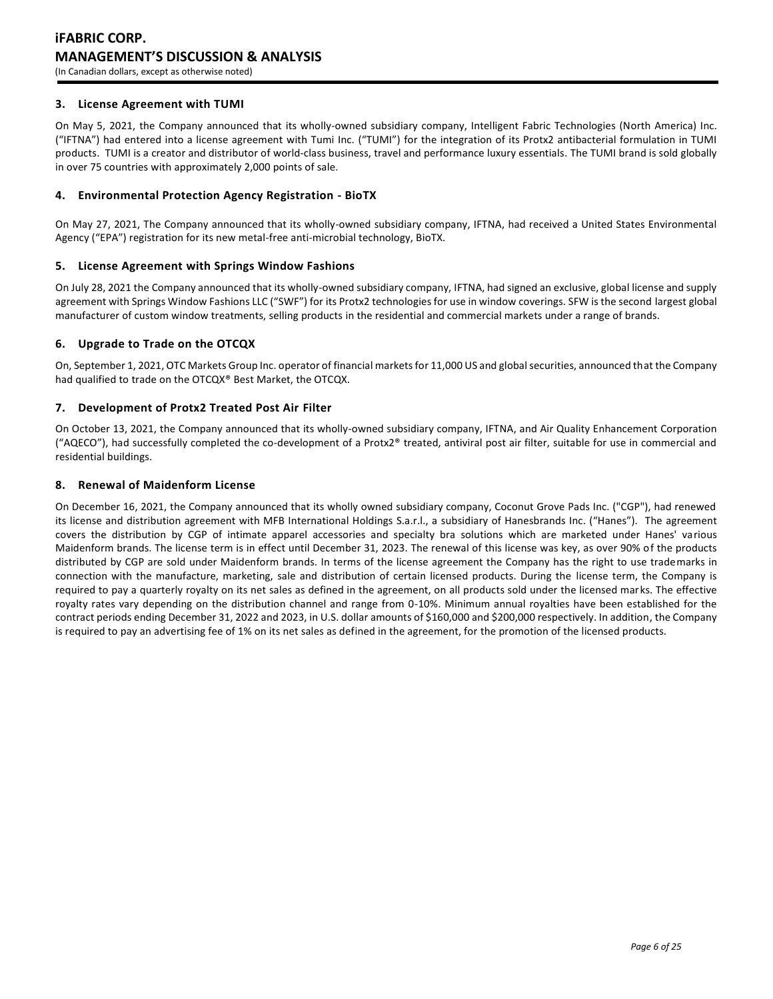# **3. License Agreement with TUMI**

On May 5, 2021, the Company announced that its wholly-owned subsidiary company, Intelligent Fabric Technologies (North America) Inc. ("IFTNA") had entered into a license agreement with Tumi Inc. ("TUMI") for the integration of its Protx2 antibacterial formulation in TUMI products. TUMI is a creator and distributor of world-class business, travel and performance luxury essentials. The TUMI brand is sold globally in over 75 countries with approximately 2,000 points of sale.

# **4. Environmental Protection Agency Registration - BioTX**

On May 27, 2021, The Company announced that its wholly-owned subsidiary company, IFTNA, had received a United States Environmental Agency ("EPA") registration for its new metal-free anti-microbial technology, BioTX.

# **5. License Agreement with Springs Window Fashions**

On July 28, 2021 the Company announced that its wholly-owned subsidiary company, IFTNA, had signed an exclusive, global license and supply agreement with Springs Window Fashions LLC ("SWF") for its Protx2 technologies for use in window coverings. SFW is the second largest global manufacturer of custom window treatments, selling products in the residential and commercial markets under a range of brands.

# **6. Upgrade to Trade on the OTCQX**

On, September 1, 2021, OTC Markets Group Inc. operator of financial markets for 11,000 US and global securities, announced that the Company had qualified to trade on the OTCQX® Best Market, the OTCQX.

# **7. Development of Protx2 Treated Post Air Filter**

On October 13, 2021, the Company announced that its wholly-owned subsidiary company, IFTNA, and Air Quality Enhancement Corporation ("AQECO"), had successfully completed the co-development of a Protx2® treated, antiviral post air filter, suitable for use in commercial and residential buildings.

# **8. Renewal of Maidenform License**

On December 16, 2021, the Company announced that its wholly owned subsidiary company, Coconut Grove Pads Inc. ("CGP"), had renewed its license and distribution agreement with MFB International Holdings S.a.r.l., a subsidiary of Hanesbrands Inc. ("Hanes"). The agreement covers the distribution by CGP of intimate apparel accessories and specialty bra solutions which are marketed under Hanes' various Maidenform brands. The license term is in effect until December 31, 2023. The renewal of this license was key, as over 90% of the products distributed by CGP are sold under Maidenform brands. In terms of the license agreement the Company has the right to use trademarks in connection with the manufacture, marketing, sale and distribution of certain licensed products. During the license term, the Company is required to pay a quarterly royalty on its net sales as defined in the agreement, on all products sold under the licensed marks. The effective royalty rates vary depending on the distribution channel and range from 0-10%. Minimum annual royalties have been established for the contract periods ending December 31, 2022 and 2023, in U.S. dollar amounts of \$160,000 and \$200,000 respectively. In addition, the Company is required to pay an advertising fee of 1% on its net sales as defined in the agreement, for the promotion of the licensed products.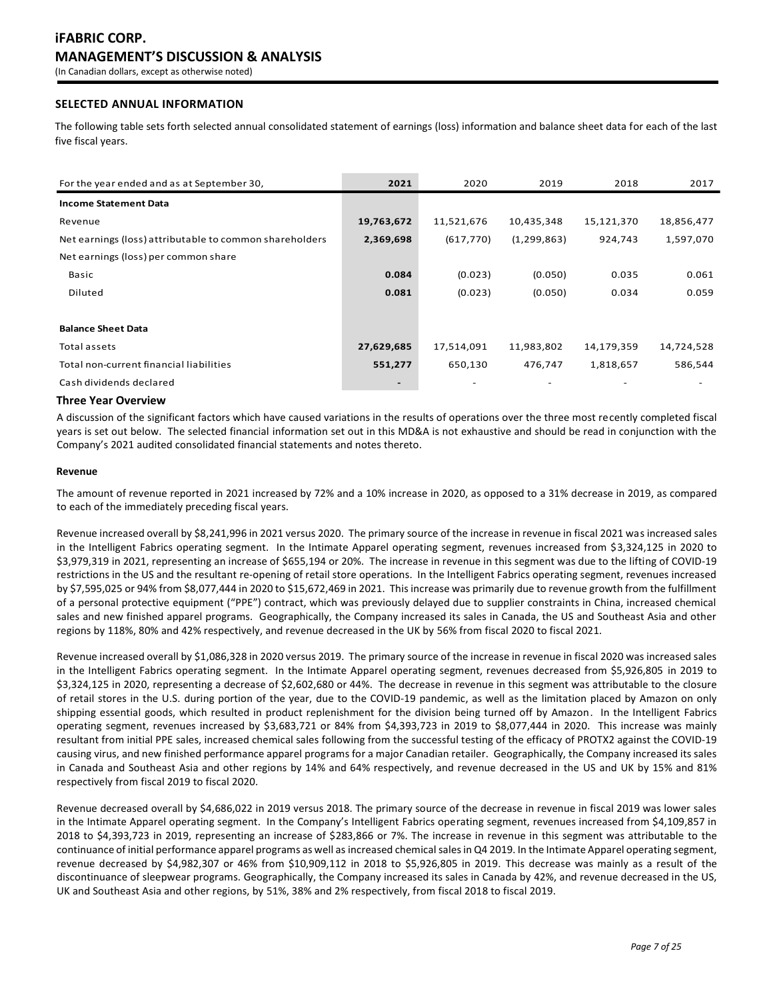# **SELECTED ANNUAL INFORMATION**

The following table sets forth selected annual consolidated statement of earnings (loss) information and balance sheet data for each of the last five fiscal years.

| For the year ended and as at September 30,              | 2021                     | 2020       | 2019          | 2018       | 2017       |
|---------------------------------------------------------|--------------------------|------------|---------------|------------|------------|
| <b>Income Statement Data</b>                            |                          |            |               |            |            |
| Revenue                                                 | 19,763,672               | 11,521,676 | 10,435,348    | 15,121,370 | 18,856,477 |
| Net earnings (loss) attributable to common shareholders | 2,369,698                | (617, 770) | (1, 299, 863) | 924,743    | 1,597,070  |
| Net earnings (loss) per common share                    |                          |            |               |            |            |
| Basic                                                   | 0.084                    | (0.023)    | (0.050)       | 0.035      | 0.061      |
| Diluted                                                 | 0.081                    | (0.023)    | (0.050)       | 0.034      | 0.059      |
|                                                         |                          |            |               |            |            |
| <b>Balance Sheet Data</b>                               |                          |            |               |            |            |
| Total assets                                            | 27,629,685               | 17,514,091 | 11,983,802    | 14,179,359 | 14,724,528 |
| Total non-current financial liabilities                 | 551,277                  | 650,130    | 476,747       | 1,818,657  | 586,544    |
| Cash dividends declared                                 | $\overline{\phantom{a}}$ |            |               |            |            |

### **Three Year Overview**

A discussion of the significant factors which have caused variations in the results of operations over the three most recently completed fiscal years is set out below. The selected financial information set out in this MD&A is not exhaustive and should be read in conjunction with the Company's 2021 audited consolidated financial statements and notes thereto.

#### **Revenue**

The amount of revenue reported in 2021 increased by 72% and a 10% increase in 2020, as opposed to a 31% decrease in 2019, as compared to each of the immediately preceding fiscal years.

Revenue increased overall by \$8,241,996 in 2021 versus 2020. The primary source of the increase in revenue in fiscal 2021 was increased sales in the Intelligent Fabrics operating segment. In the Intimate Apparel operating segment, revenues increased from \$3,324,125 in 2020 to \$3,979,319 in 2021, representing an increase of \$655,194 or 20%. The increase in revenue in this segment was due to the lifting of COVID-19 restrictions in the US and the resultant re-opening of retail store operations. In the Intelligent Fabrics operating segment, revenues increased by \$7,595,025 or 94% from \$8,077,444 in 2020 to \$15,672,469 in 2021. This increase was primarily due to revenue growth from the fulfillment of a personal protective equipment ("PPE") contract, which was previously delayed due to supplier constraints in China, increased chemical sales and new finished apparel programs. Geographically, the Company increased its sales in Canada, the US and Southeast Asia and other regions by 118%, 80% and 42% respectively, and revenue decreased in the UK by 56% from fiscal 2020 to fiscal 2021.

Revenue increased overall by \$1,086,328 in 2020 versus 2019. The primary source of the increase in revenue in fiscal 2020 was increased sales in the Intelligent Fabrics operating segment. In the Intimate Apparel operating segment, revenues decreased from \$5,926,805 in 2019 to \$3,324,125 in 2020, representing a decrease of \$2,602,680 or 44%. The decrease in revenue in this segment was attributable to the closure of retail stores in the U.S. during portion of the year, due to the COVID-19 pandemic, as well as the limitation placed by Amazon on only shipping essential goods, which resulted in product replenishment for the division being turned off by Amazon. In the Intelligent Fabrics operating segment, revenues increased by \$3,683,721 or 84% from \$4,393,723 in 2019 to \$8,077,444 in 2020. This increase was mainly resultant from initial PPE sales, increased chemical sales following from the successful testing of the efficacy of PROTX2 against the COVID-19 causing virus, and new finished performance apparel programs for a major Canadian retailer. Geographically, the Company increased its sales in Canada and Southeast Asia and other regions by 14% and 64% respectively, and revenue decreased in the US and UK by 15% and 81% respectively from fiscal 2019 to fiscal 2020.

Revenue decreased overall by \$4,686,022 in 2019 versus 2018. The primary source of the decrease in revenue in fiscal 2019 was lower sales in the Intimate Apparel operating segment. In the Company's Intelligent Fabrics operating segment, revenues increased from \$4,109,857 in 2018 to \$4,393,723 in 2019, representing an increase of \$283,866 or 7%. The increase in revenue in this segment was attributable to the continuance of initial performance apparel programs as well as increased chemicalsales in Q4 2019. In the Intimate Apparel operating segment, revenue decreased by \$4,982,307 or 46% from \$10,909,112 in 2018 to \$5,926,805 in 2019. This decrease was mainly as a result of the discontinuance of sleepwear programs. Geographically, the Company increased its sales in Canada by 42%, and revenue decreased in the US, UK and Southeast Asia and other regions, by 51%, 38% and 2% respectively, from fiscal 2018 to fiscal 2019.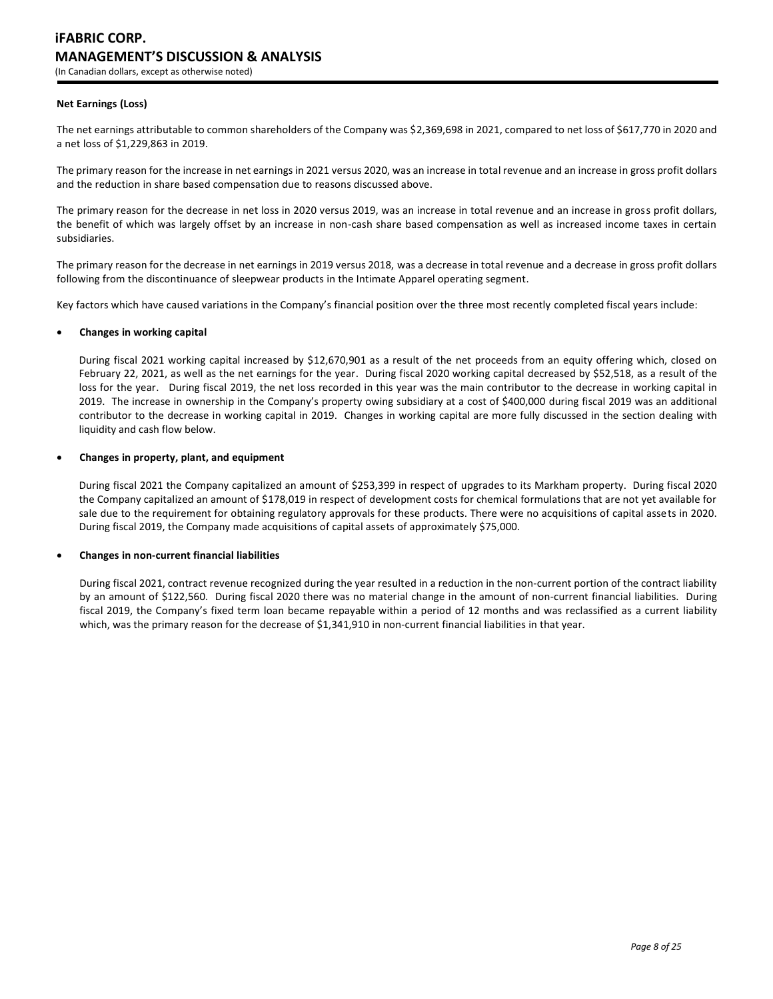### **Net Earnings (Loss)**

The net earnings attributable to common shareholders of the Company was \$2,369,698 in 2021, compared to net loss of \$617,770 in 2020 and a net loss of \$1,229,863 in 2019.

The primary reason for the increase in net earnings in 2021 versus 2020, was an increase in total revenue and an increase in gross profit dollars and the reduction in share based compensation due to reasons discussed above.

The primary reason for the decrease in net loss in 2020 versus 2019, was an increase in total revenue and an increase in gross profit dollars, the benefit of which was largely offset by an increase in non-cash share based compensation as well as increased income taxes in certain subsidiaries.

The primary reason for the decrease in net earnings in 2019 versus 2018, was a decrease in total revenue and a decrease in gross profit dollars following from the discontinuance of sleepwear products in the Intimate Apparel operating segment.

Key factors which have caused variations in the Company's financial position over the three most recently completed fiscal years include:

#### **Changes in working capital**

During fiscal 2021 working capital increased by \$12,670,901 as a result of the net proceeds from an equity offering which, closed on February 22, 2021, as well as the net earnings for the year. During fiscal 2020 working capital decreased by \$52,518, as a result of the loss for the year. During fiscal 2019, the net loss recorded in this year was the main contributor to the decrease in working capital in 2019. The increase in ownership in the Company's property owing subsidiary at a cost of \$400,000 during fiscal 2019 was an additional contributor to the decrease in working capital in 2019. Changes in working capital are more fully discussed in the section dealing with liquidity and cash flow below.

#### **Changes in property, plant, and equipment**

During fiscal 2021 the Company capitalized an amount of \$253,399 in respect of upgrades to its Markham property. During fiscal 2020 the Company capitalized an amount of \$178,019 in respect of development costs for chemical formulations that are not yet available for sale due to the requirement for obtaining regulatory approvals for these products. There were no acquisitions of capital assets in 2020. During fiscal 2019, the Company made acquisitions of capital assets of approximately \$75,000.

### **Changes in non-current financial liabilities**

During fiscal 2021, contract revenue recognized during the year resulted in a reduction in the non-current portion of the contract liability by an amount of \$122,560. During fiscal 2020 there was no material change in the amount of non-current financial liabilities. During fiscal 2019, the Company's fixed term loan became repayable within a period of 12 months and was reclassified as a current liability which, was the primary reason for the decrease of \$1,341,910 in non-current financial liabilities in that year.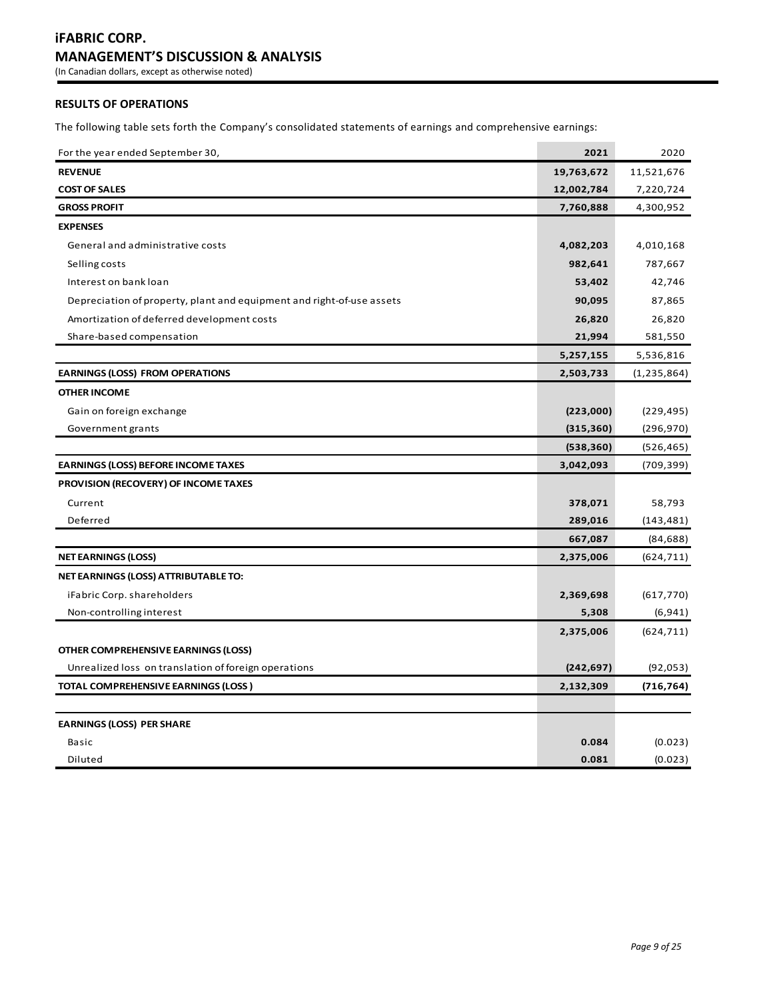# **RESULTS OF OPERATIONS**

The following table sets forth the Company's consolidated statements of earnings and comprehensive earnings:

| For the year ended September 30,                                      | 2021       | 2020        |
|-----------------------------------------------------------------------|------------|-------------|
| <b>REVENUE</b>                                                        | 19,763,672 | 11,521,676  |
| <b>COST OF SALES</b>                                                  | 12,002,784 | 7,220,724   |
| <b>GROSS PROFIT</b>                                                   | 7,760,888  | 4,300,952   |
| <b>EXPENSES</b>                                                       |            |             |
| General and administrative costs                                      | 4,082,203  | 4,010,168   |
| Selling costs                                                         | 982,641    | 787,667     |
| Interest on bank loan                                                 | 53,402     | 42,746      |
| Depreciation of property, plant and equipment and right-of-use assets | 90,095     | 87,865      |
| Amortization of deferred development costs                            | 26,820     | 26,820      |
| Share-based compensation                                              | 21,994     | 581,550     |
|                                                                       | 5,257,155  | 5,536,816   |
| <b>EARNINGS (LOSS) FROM OPERATIONS</b>                                | 2,503,733  | (1,235,864) |
| <b>OTHER INCOME</b>                                                   |            |             |
| Gain on foreign exchange                                              | (223,000)  | (229, 495)  |
| Government grants                                                     | (315, 360) | (296, 970)  |
|                                                                       | (538, 360) | (526, 465)  |
| <b>EARNINGS (LOSS) BEFORE INCOME TAXES</b>                            | 3,042,093  | (709, 399)  |
| PROVISION (RECOVERY) OF INCOME TAXES                                  |            |             |
| Current                                                               | 378,071    | 58,793      |
| Deferred                                                              | 289,016    | (143, 481)  |
|                                                                       | 667,087    | (84, 688)   |
| <b>NET EARNINGS (LOSS)</b>                                            | 2,375,006  | (624, 711)  |
| NET EARNINGS (LOSS) ATTRIBUTABLE TO:                                  |            |             |
| iFabric Corp. shareholders                                            | 2,369,698  | (617, 770)  |
| Non-controlling interest                                              | 5,308      | (6, 941)    |
|                                                                       | 2,375,006  | (624, 711)  |
| OTHER COMPREHENSIVE EARNINGS (LOSS)                                   |            |             |
| Unrealized loss on translation of foreign operations                  | (242, 697) | (92, 053)   |
| TOTAL COMPREHENSIVE EARNINGS (LOSS)                                   | 2,132,309  | (716, 764)  |
|                                                                       |            |             |
| <b>EARNINGS (LOSS) PER SHARE</b>                                      |            |             |
| Basic                                                                 | 0.084      | (0.023)     |
| Diluted                                                               | 0.081      | (0.023)     |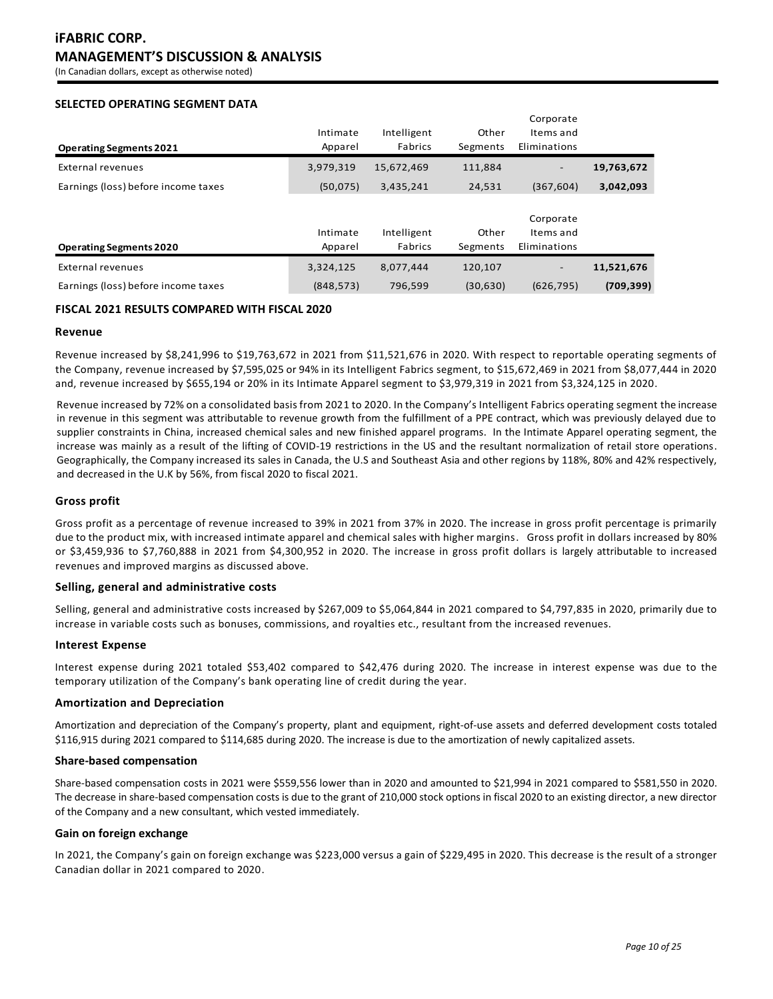(In Canadian dollars, except as otherwise noted)

# **SELECTED OPERATING SEGMENT DATA**

|                                     |            |             |           | corporate                |            |
|-------------------------------------|------------|-------------|-----------|--------------------------|------------|
|                                     | Intimate   | Intelligent | Other     | Items and                |            |
| <b>Operating Segments 2021</b>      | Apparel    | Fabrics     | Segments  | Eliminations             |            |
| External revenues                   | 3,979,319  | 15,672,469  | 111,884   | $\overline{\phantom{a}}$ | 19,763,672 |
| Earnings (loss) before income taxes | (50,075)   | 3,435,241   | 24,531    | (367, 604)               | 3,042,093  |
|                                     |            |             |           |                          |            |
|                                     |            |             |           | Corporate                |            |
|                                     | Intimate   | Intelligent | Other     | Items and                |            |
| <b>Operating Segments 2020</b>      | Apparel    | Fabrics     | Segments  | Eliminations             |            |
| External revenues                   | 3,324,125  | 8,077,444   | 120,107   | $\overline{\phantom{a}}$ | 11,521,676 |
| Earnings (loss) before income taxes | (848, 573) | 796,599     | (30, 630) | (626, 795)               | (709, 399) |

# **FISCAL 2021 RESULTS COMPARED WITH FISCAL 2020**

### **Revenue**

Revenue increased by \$8,241,996 to \$19,763,672 in 2021 from \$11,521,676 in 2020. With respect to reportable operating segments of the Company, revenue increased by \$7,595,025 or 94% in its Intelligent Fabrics segment, to \$15,672,469 in 2021 from \$8,077,444 in 2020 and, revenue increased by \$655,194 or 20% in its Intimate Apparel segment to \$3,979,319 in 2021 from \$3,324,125 in 2020.

Corporate

Revenue increased by 72% on a consolidated basis from 2021 to 2020. In the Company's Intelligent Fabrics operating segment the increase in revenue in this segment was attributable to revenue growth from the fulfillment of a PPE contract, which was previously delayed due to supplier constraints in China, increased chemical sales and new finished apparel programs. In the Intimate Apparel operating segment, the increase was mainly as a result of the lifting of COVID-19 restrictions in the US and the resultant normalization of retail store operations. Geographically, the Company increased its sales in Canada, the U.S and Southeast Asia and other regions by 118%, 80% and 42% respectively, and decreased in the U.K by 56%, from fiscal 2020 to fiscal 2021.

### **Gross profit**

Gross profit as a percentage of revenue increased to 39% in 2021 from 37% in 2020. The increase in gross profit percentage is primarily due to the product mix, with increased intimate apparel and chemical sales with higher margins. Gross profit in dollars increased by 80% or \$3,459,936 to \$7,760,888 in 2021 from \$4,300,952 in 2020. The increase in gross profit dollars is largely attributable to increased revenues and improved margins as discussed above.

### **Selling, general and administrative costs**

Selling, general and administrative costs increased by \$267,009 to \$5,064,844 in 2021 compared to \$4,797,835 in 2020, primarily due to increase in variable costs such as bonuses, commissions, and royalties etc., resultant from the increased revenues.

### **Interest Expense**

Interest expense during 2021 totaled \$53,402 compared to \$42,476 during 2020. The increase in interest expense was due to the temporary utilization of the Company's bank operating line of credit during the year.

### **Amortization and Depreciation**

Amortization and depreciation of the Company's property, plant and equipment, right-of-use assets and deferred development costs totaled \$116,915 during 2021 compared to \$114,685 during 2020. The increase is due to the amortization of newly capitalized assets.

#### **Share-based compensation**

Share-based compensation costs in 2021 were \$559,556 lower than in 2020 and amounted to \$21,994 in 2021 compared to \$581,550 in 2020. The decrease in share-based compensation costs is due to the grant of 210,000 stock options in fiscal 2020 to an existing director, a new director of the Company and a new consultant, which vested immediately.

# **Gain on foreign exchange**

In 2021, the Company's gain on foreign exchange was \$223,000 versus a gain of \$229,495 in 2020. This decrease is the result of a stronger Canadian dollar in 2021 compared to 2020.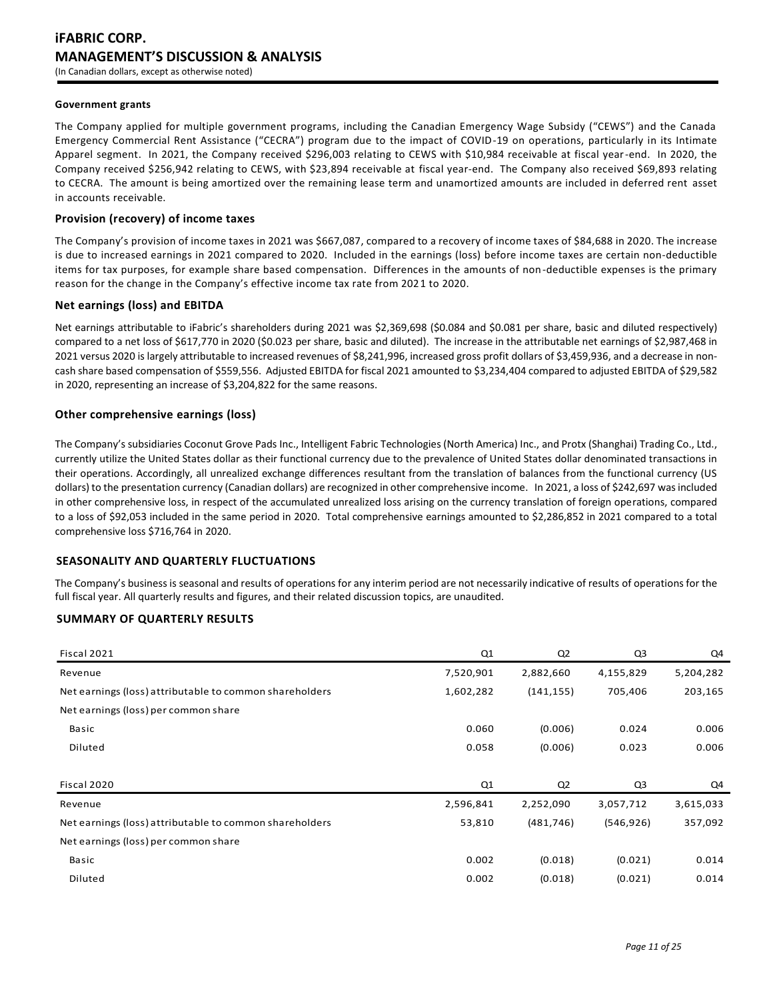### **Government grants**

The Company applied for multiple government programs, including the Canadian Emergency Wage Subsidy ("CEWS") and the Canada Emergency Commercial Rent Assistance ("CECRA") program due to the impact of COVID-19 on operations, particularly in its Intimate Apparel segment. In 2021, the Company received \$296,003 relating to CEWS with \$10,984 receivable at fiscal year-end. In 2020, the Company received \$256,942 relating to CEWS, with \$23,894 receivable at fiscal year-end. The Company also received \$69,893 relating to CECRA. The amount is being amortized over the remaining lease term and unamortized amounts are included in deferred rent asset in accounts receivable.

### **Provision (recovery) of income taxes**

The Company's provision of income taxes in 2021 was \$667,087, compared to a recovery of income taxes of \$84,688 in 2020. The increase is due to increased earnings in 2021 compared to 2020. Included in the earnings (loss) before income taxes are certain non-deductible items for tax purposes, for example share based compensation. Differences in the amounts of non-deductible expenses is the primary reason for the change in the Company's effective income tax rate from 2021 to 2020.

#### **Net earnings (loss) and EBITDA**

Net earnings attributable to iFabric's shareholders during 2021 was \$2,369,698 (\$0.084 and \$0.081 per share, basic and diluted respectively) compared to a net loss of \$617,770 in 2020 (\$0.023 per share, basic and diluted). The increase in the attributable net earnings of \$2,987,468 in 2021 versus 2020 is largely attributable to increased revenues of \$8,241,996, increased gross profit dollars of \$3,459,936, and a decrease in noncash share based compensation of \$559,556. Adjusted EBITDA for fiscal 2021 amounted to \$3,234,404 compared to adjusted EBITDA of \$29,582 in 2020, representing an increase of \$3,204,822 for the same reasons.

# **Other comprehensive earnings (loss)**

The Company's subsidiaries Coconut Grove Pads Inc., Intelligent Fabric Technologies (North America) Inc., and Protx (Shanghai) Trading Co., Ltd., currently utilize the United States dollar as their functional currency due to the prevalence of United States dollar denominated transactions in their operations. Accordingly, all unrealized exchange differences resultant from the translation of balances from the functional currency (US dollars) to the presentation currency (Canadian dollars) are recognized in other comprehensive income. In 2021, a loss of \$242,697 was included in other comprehensive loss, in respect of the accumulated unrealized loss arising on the currency translation of foreign operations, compared to a loss of \$92,053 included in the same period in 2020. Total comprehensive earnings amounted to \$2,286,852 in 2021 compared to a total comprehensive loss \$716,764 in 2020.

# **SEASONALITY AND QUARTERLY FLUCTUATIONS**

The Company's business is seasonal and results of operations for any interim period are not necessarily indicative of results of operations for the full fiscal year. All quarterly results and figures, and their related discussion topics, are unaudited.

### **SUMMARY OF QUARTERLY RESULTS**

| Fiscal 2021                                             | Q1        | Q <sub>2</sub> | Q3             | Q4        |
|---------------------------------------------------------|-----------|----------------|----------------|-----------|
| Revenue                                                 | 7,520,901 | 2,882,660      | 4,155,829      | 5,204,282 |
| Net earnings (loss) attributable to common shareholders | 1,602,282 | (141, 155)     | 705,406        | 203,165   |
| Net earnings (loss) per common share                    |           |                |                |           |
| Basic                                                   | 0.060     | (0.006)        | 0.024          | 0.006     |
| Diluted                                                 | 0.058     | (0.006)        | 0.023          | 0.006     |
|                                                         |           |                |                |           |
| Fiscal 2020                                             | Q1        | Q <sub>2</sub> | Q <sub>3</sub> | Q4        |
| Revenue                                                 | 2,596,841 | 2,252,090      | 3,057,712      | 3,615,033 |
| Net earnings (loss) attributable to common shareholders | 53,810    | (481, 746)     | (546, 926)     | 357,092   |
| Net earnings (loss) per common share                    |           |                |                |           |
| Basic                                                   | 0.002     | (0.018)        | (0.021)        | 0.014     |
| Diluted                                                 | 0.002     | (0.018)        | (0.021)        | 0.014     |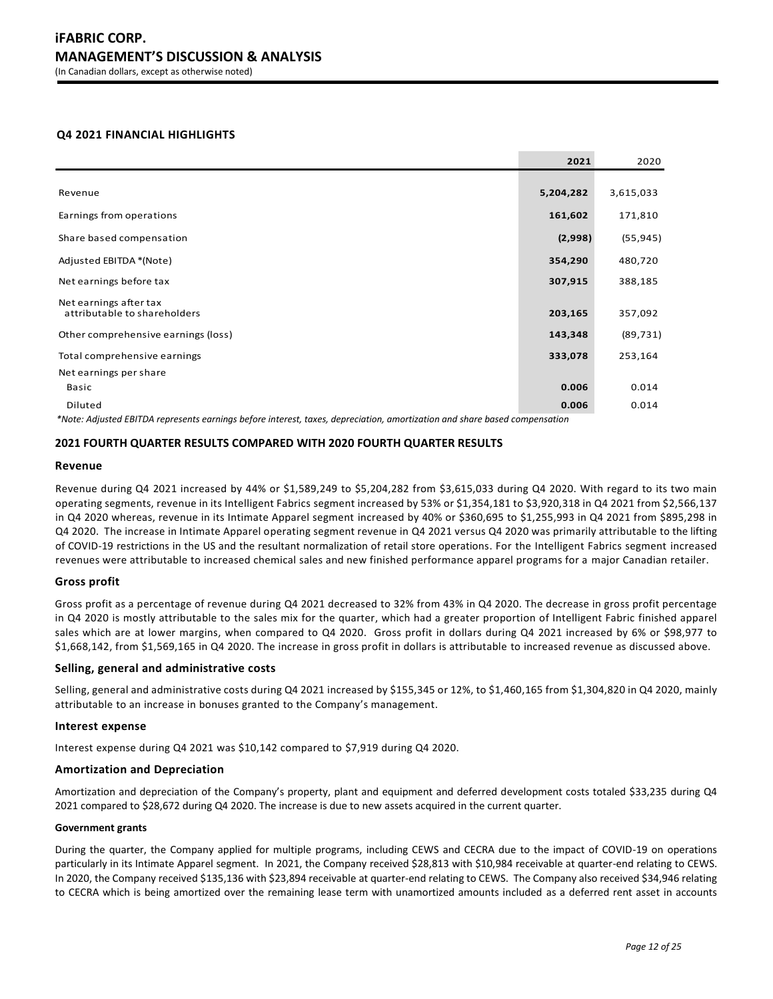# **Q4 2021 FINANCIAL HIGHLIGHTS**

|                                                                                                                 | 2021      | 2020      |
|-----------------------------------------------------------------------------------------------------------------|-----------|-----------|
|                                                                                                                 |           |           |
| Revenue                                                                                                         | 5,204,282 | 3,615,033 |
| Earnings from operations                                                                                        | 161,602   | 171,810   |
| Share based compensation                                                                                        | (2,998)   | (55, 945) |
| Adjusted EBITDA *(Note)                                                                                         | 354,290   | 480,720   |
| Net earnings before tax                                                                                         | 307,915   | 388,185   |
| Net earnings after tax                                                                                          |           |           |
| attributable to shareholders                                                                                    | 203,165   | 357,092   |
| Other comprehensive earnings (loss)                                                                             | 143,348   | (89, 731) |
| Total comprehensive earnings                                                                                    | 333,078   | 253,164   |
| Net earnings per share                                                                                          |           |           |
| Basic                                                                                                           | 0.006     | 0.014     |
| Diluted                                                                                                         | 0.006     | 0.014     |
| the contract of the contract of the contract of the contract of the contract of the contract of the contract of |           |           |

*\*Note: Adjusted EBITDA represents earnings before interest, taxes, depreciation, amortization and share based compensation*

### **2021 FOURTH QUARTER RESULTS COMPARED WITH 2020 FOURTH QUARTER RESULTS**

#### **Revenue**

Revenue during Q4 2021 increased by 44% or \$1,589,249 to \$5,204,282 from \$3,615,033 during Q4 2020. With regard to its two main operating segments, revenue in its Intelligent Fabrics segment increased by 53% or \$1,354,181 to \$3,920,318 in Q4 2021 from \$2,566,137 in Q4 2020 whereas, revenue in its Intimate Apparel segment increased by 40% or \$360,695 to \$1,255,993 in Q4 2021 from \$895,298 in Q4 2020. The increase in Intimate Apparel operating segment revenue in Q4 2021 versus Q4 2020 was primarily attributable to the lifting of COVID-19 restrictions in the US and the resultant normalization of retail store operations. For the Intelligent Fabrics segment increased revenues were attributable to increased chemical sales and new finished performance apparel programs for a major Canadian retailer.

### **Gross profit**

Gross profit as a percentage of revenue during Q4 2021 decreased to 32% from 43% in Q4 2020. The decrease in gross profit percentage in Q4 2020 is mostly attributable to the sales mix for the quarter, which had a greater proportion of Intelligent Fabric finished apparel sales which are at lower margins, when compared to Q4 2020. Gross profit in dollars during Q4 2021 increased by 6% or \$98,977 to \$1,668,142, from \$1,569,165 in Q4 2020. The increase in gross profit in dollars is attributable to increased revenue as discussed above.

### **Selling, general and administrative costs**

Selling, general and administrative costs during Q4 2021 increased by \$155,345 or 12%, to \$1,460,165 from \$1,304,820 in Q4 2020, mainly attributable to an increase in bonuses granted to the Company's management.

# **Interest expense**

Interest expense during Q4 2021 was \$10,142 compared to \$7,919 during Q4 2020.

### **Amortization and Depreciation**

Amortization and depreciation of the Company's property, plant and equipment and deferred development costs totaled \$33,235 during Q4 2021 compared to \$28,672 during Q4 2020. The increase is due to new assets acquired in the current quarter.

#### **Government grants**

During the quarter, the Company applied for multiple programs, including CEWS and CECRA due to the impact of COVID-19 on operations particularly in its Intimate Apparel segment. In 2021, the Company received \$28,813 with \$10,984 receivable at quarter-end relating to CEWS. In 2020, the Company received \$135,136 with \$23,894 receivable at quarter-end relating to CEWS. The Company also received \$34,946 relating to CECRA which is being amortized over the remaining lease term with unamortized amounts included as a deferred rent asset in accounts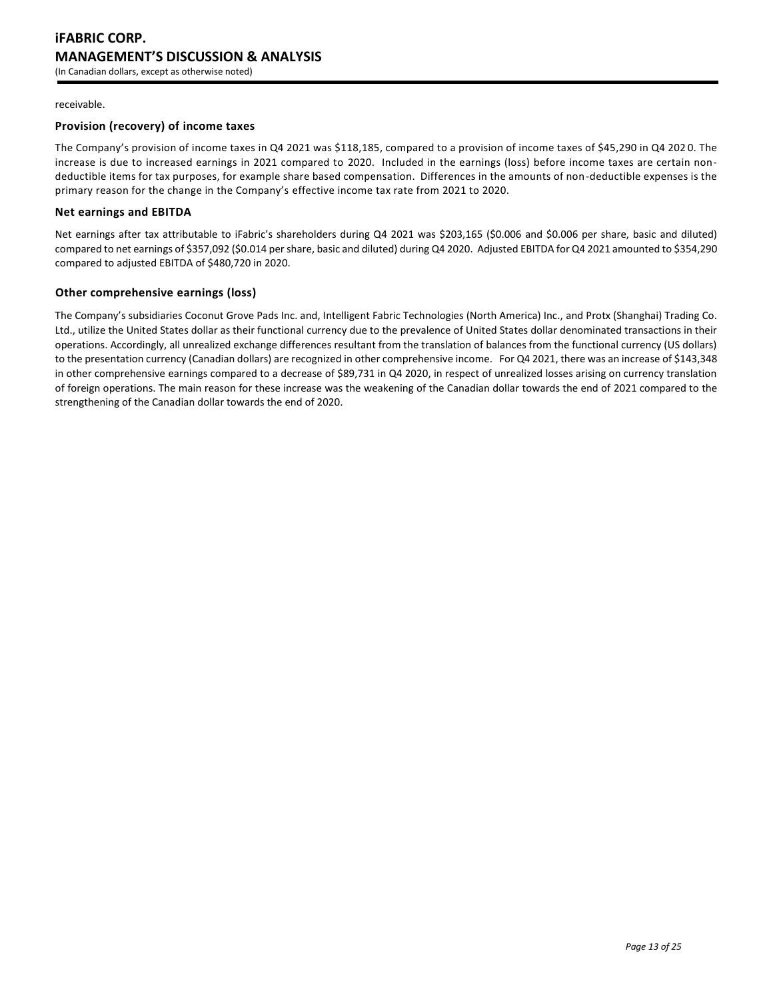### receivable.

# **Provision (recovery) of income taxes**

The Company's provision of income taxes in Q4 2021 was \$118,185, compared to a provision of income taxes of \$45,290 in Q4 202 0. The increase is due to increased earnings in 2021 compared to 2020. Included in the earnings (loss) before income taxes are certain nondeductible items for tax purposes, for example share based compensation. Differences in the amounts of non-deductible expenses is the primary reason for the change in the Company's effective income tax rate from 2021 to 2020.

# **Net earnings and EBITDA**

Net earnings after tax attributable to iFabric's shareholders during Q4 2021 was \$203,165 (\$0.006 and \$0.006 per share, basic and diluted) compared to net earnings of \$357,092 (\$0.014 per share, basic and diluted) during Q4 2020. Adjusted EBITDA for Q4 2021 amounted to \$354,290 compared to adjusted EBITDA of \$480,720 in 2020.

# **Other comprehensive earnings (loss)**

The Company's subsidiaries Coconut Grove Pads Inc. and, Intelligent Fabric Technologies (North America) Inc., and Protx (Shanghai) Trading Co. Ltd., utilize the United States dollar as their functional currency due to the prevalence of United States dollar denominated transactions in their operations. Accordingly, all unrealized exchange differences resultant from the translation of balances from the functional currency (US dollars) to the presentation currency (Canadian dollars) are recognized in other comprehensive income. For Q4 2021, there was an increase of \$143,348 in other comprehensive earnings compared to a decrease of \$89,731 in Q4 2020, in respect of unrealized losses arising on currency translation of foreign operations. The main reason for these increase was the weakening of the Canadian dollar towards the end of 2021 compared to the strengthening of the Canadian dollar towards the end of 2020.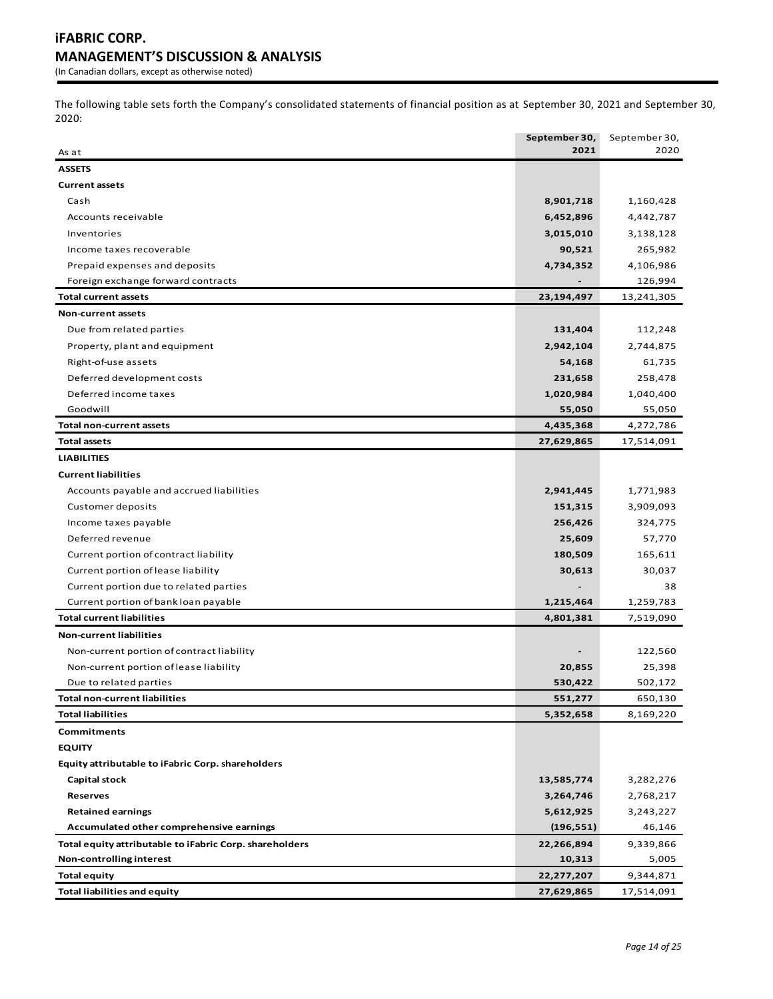The following table sets forth the Company's consolidated statements of financial position as at September 30, 2021 and September 30, 2020:

|                                                         | September 30, | September 30, |
|---------------------------------------------------------|---------------|---------------|
| As at                                                   | 2021          | 2020          |
| <b>ASSETS</b>                                           |               |               |
| <b>Current assets</b>                                   |               |               |
| Cash                                                    | 8,901,718     | 1,160,428     |
| Accounts receivable                                     | 6,452,896     | 4,442,787     |
| Inventories                                             | 3,015,010     | 3,138,128     |
| Income taxes recoverable                                | 90,521        | 265,982       |
| Prepaid expenses and deposits                           | 4,734,352     | 4,106,986     |
| Foreign exchange forward contracts                      |               | 126,994       |
| Total current assets                                    | 23,194,497    | 13,241,305    |
| <b>Non-current assets</b>                               |               |               |
| Due from related parties                                | 131,404       | 112,248       |
| Property, plant and equipment                           | 2,942,104     | 2,744,875     |
| Right-of-use assets                                     | 54,168        | 61,735        |
| Deferred development costs                              | 231,658       | 258,478       |
| Deferred income taxes                                   | 1,020,984     | 1,040,400     |
| Goodwill                                                | 55,050        | 55,050        |
| <b>Total non-current assets</b>                         | 4,435,368     | 4,272,786     |
| <b>Total assets</b>                                     | 27,629,865    | 17,514,091    |
| <b>LIABILITIES</b>                                      |               |               |
| <b>Current liabilities</b>                              |               |               |
| Accounts payable and accrued liabilities                | 2,941,445     | 1,771,983     |
| Customer deposits                                       | 151,315       | 3,909,093     |
| Income taxes payable                                    | 256,426       | 324,775       |
| Deferred revenue                                        | 25,609        | 57,770        |
| Current portion of contract liability                   | 180,509       | 165,611       |
| Current portion of lease liability                      | 30,613        | 30,037        |
| Current portion due to related parties                  |               | 38            |
| Current portion of bank loan payable                    | 1,215,464     | 1,259,783     |
| <b>Total current liabilities</b>                        | 4,801,381     | 7,519,090     |
| <b>Non-current liabilities</b>                          |               |               |
| Non-current portion of contract liability               |               | 122,560       |
| Non-current portion of lease liability                  | 20,855        | 25,398        |
| Due to related parties                                  | 530,422       | 502,172       |
| Total non-current liabilities                           | 551,277       | 650,130       |
| <b>Total liabilities</b>                                | 5,352,658     | 8,169,220     |
| Commitments                                             |               |               |
| <b>EQUITY</b>                                           |               |               |
| Equity attributable to iFabric Corp. shareholders       |               |               |
| <b>Capital stock</b>                                    | 13,585,774    | 3,282,276     |
| <b>Reserves</b>                                         | 3,264,746     | 2,768,217     |
| <b>Retained earnings</b>                                | 5,612,925     | 3,243,227     |
| Accumulated other comprehensive earnings                | (196, 551)    | 46,146        |
| Total equity attributable to iFabric Corp. shareholders | 22,266,894    | 9,339,866     |
| Non-controlling interest                                | 10,313        | 5,005         |
| <b>Total equity</b>                                     | 22,277,207    | 9,344,871     |
| <b>Total liabilities and equity</b>                     | 27,629,865    | 17,514,091    |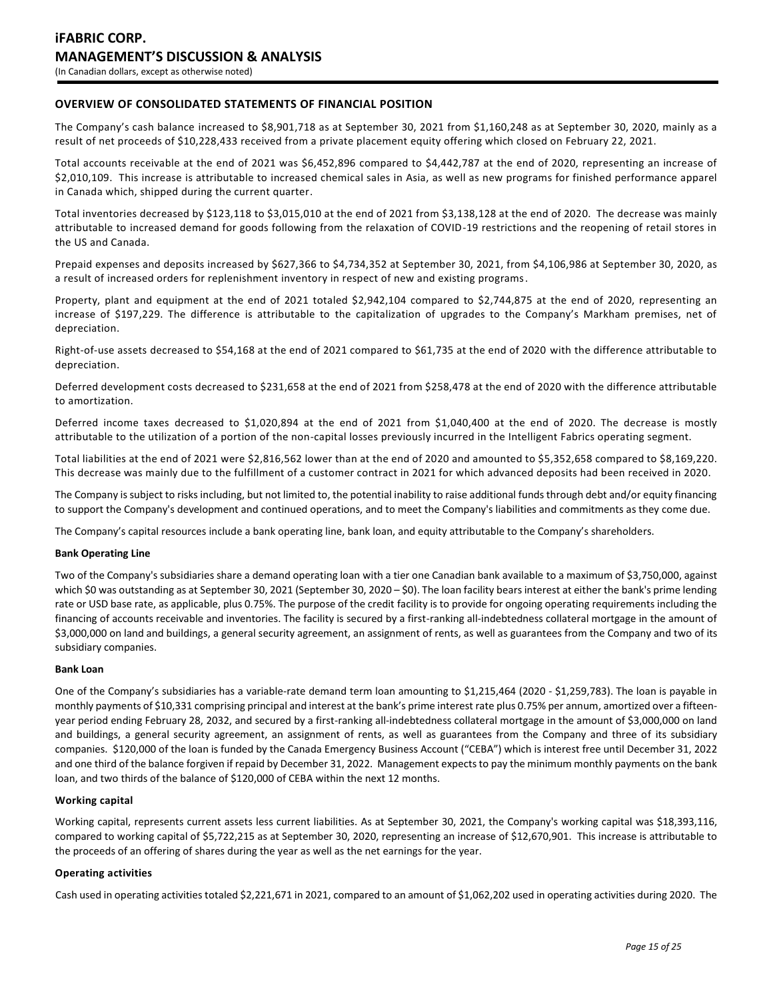# **OVERVIEW OF CONSOLIDATED STATEMENTS OF FINANCIAL POSITION**

The Company's cash balance increased to \$8,901,718 as at September 30, 2021 from \$1,160,248 as at September 30, 2020, mainly as a result of net proceeds of \$10,228,433 received from a private placement equity offering which closed on February 22, 2021.

Total accounts receivable at the end of 2021 was \$6,452,896 compared to \$4,442,787 at the end of 2020, representing an increase of \$2,010,109. This increase is attributable to increased chemical sales in Asia, as well as new programs for finished performance apparel in Canada which, shipped during the current quarter.

Total inventories decreased by \$123,118 to \$3,015,010 at the end of 2021 from \$3,138,128 at the end of 2020. The decrease was mainly attributable to increased demand for goods following from the relaxation of COVID-19 restrictions and the reopening of retail stores in the US and Canada.

Prepaid expenses and deposits increased by \$627,366 to \$4,734,352 at September 30, 2021, from \$4,106,986 at September 30, 2020, as a result of increased orders for replenishment inventory in respect of new and existing programs.

Property, plant and equipment at the end of 2021 totaled \$2,942,104 compared to \$2,744,875 at the end of 2020, representing an increase of \$197,229. The difference is attributable to the capitalization of upgrades to the Company's Markham premises, net of depreciation.

Right-of-use assets decreased to \$54,168 at the end of 2021 compared to \$61,735 at the end of 2020 with the difference attributable to depreciation.

Deferred development costs decreased to \$231,658 at the end of 2021 from \$258,478 at the end of 2020 with the difference attributable to amortization.

Deferred income taxes decreased to \$1,020,894 at the end of 2021 from \$1,040,400 at the end of 2020. The decrease is mostly attributable to the utilization of a portion of the non-capital losses previously incurred in the Intelligent Fabrics operating segment.

Total liabilities at the end of 2021 were \$2,816,562 lower than at the end of 2020 and amounted to \$5,352,658 compared to \$8,169,220. This decrease was mainly due to the fulfillment of a customer contract in 2021 for which advanced deposits had been received in 2020.

The Company is subject to risks including, but not limited to, the potential inability to raise additional funds through debt and/or equity financing to support the Company's development and continued operations, and to meet the Company's liabilities and commitments as they come due.

The Company's capital resources include a bank operating line, bank loan, and equity attributable to the Company's shareholders.

# **Bank Operating Line**

Two of the Company's subsidiaries share a demand operating loan with a tier one Canadian bank available to a maximum of \$3,750,000, against which \$0 was outstanding as at September 30, 2021 (September 30, 2020 – \$0). The loan facility bears interest at either the bank's prime lending rate or USD base rate, as applicable, plus 0.75%. The purpose of the credit facility is to provide for ongoing operating requirements including the financing of accounts receivable and inventories. The facility is secured by a first-ranking all-indebtedness collateral mortgage in the amount of \$3,000,000 on land and buildings, a general security agreement, an assignment of rents, as well as guarantees from the Company and two of its subsidiary companies.

#### **Bank Loan**

One of the Company's subsidiaries has a variable-rate demand term loan amounting to \$1,215,464 (2020 - \$1,259,783). The loan is payable in monthly payments of \$10,331 comprising principal and interest at the bank's prime interest rate plus 0.75% per annum, amortized over a fifteenyear period ending February 28, 2032, and secured by a first-ranking all-indebtedness collateral mortgage in the amount of \$3,000,000 on land and buildings, a general security agreement, an assignment of rents, as well as guarantees from the Company and three of its subsidiary companies. \$120,000 of the loan is funded by the Canada Emergency Business Account ("CEBA") which is interest free until December 31, 2022 and one third of the balance forgiven if repaid by December 31, 2022. Management expects to pay the minimum monthly payments on the bank loan, and two thirds of the balance of \$120,000 of CEBA within the next 12 months.

### **Working capital**

Working capital, represents current assets less current liabilities. As at September 30, 2021, the Company's working capital was \$18,393,116, compared to working capital of \$5,722,215 as at September 30, 2020, representing an increase of \$12,670,901. This increase is attributable to the proceeds of an offering of shares during the year as well as the net earnings for the year.

### **Operating activities**

Cash used in operating activities totaled \$2,221,671 in 2021, compared to an amount of \$1,062,202 used in operating activities during 2020. The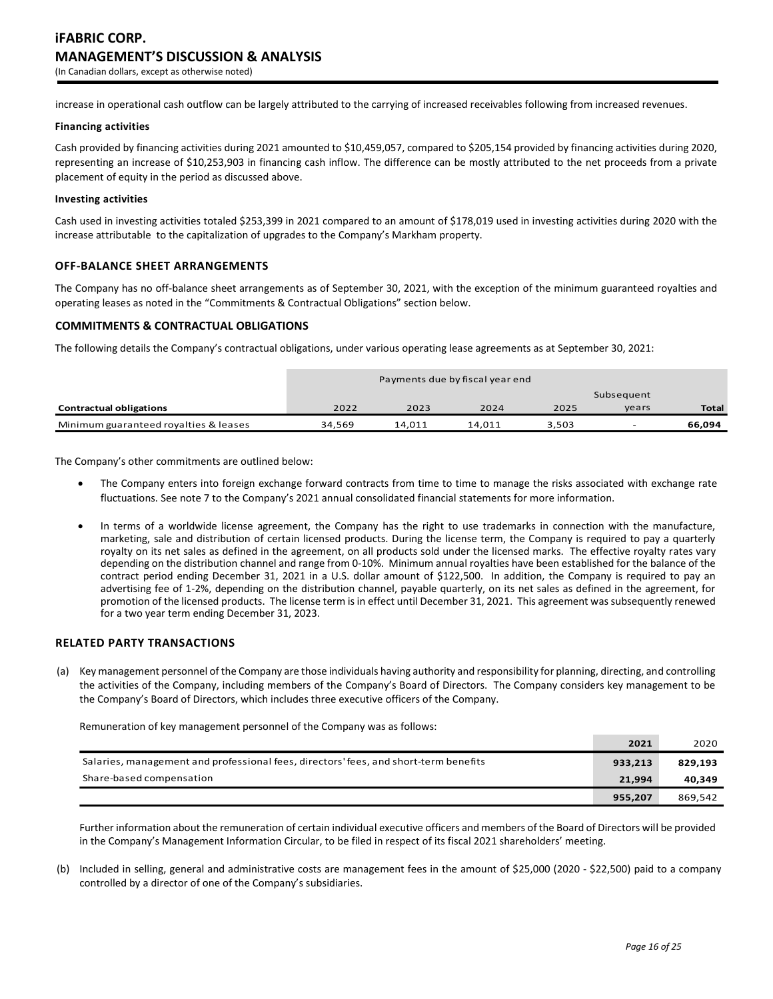increase in operational cash outflow can be largely attributed to the carrying of increased receivables following from increased revenues.

### **Financing activities**

Cash provided by financing activities during 2021 amounted to \$10,459,057, compared to \$205,154 provided by financing activities during 2020, representing an increase of \$10,253,903 in financing cash inflow. The difference can be mostly attributed to the net proceeds from a private placement of equity in the period as discussed above.

### **Investing activities**

Cash used in investing activities totaled \$253,399 in 2021 compared to an amount of \$178,019 used in investing activities during 2020 with the increase attributable to the capitalization of upgrades to the Company's Markham property.

# **OFF-BALANCE SHEET ARRANGEMENTS**

The Company has no off-balance sheet arrangements as of September 30, 2021, with the exception of the minimum guaranteed royalties and operating leases as noted in the "Commitments & Contractual Obligations" section below.

# **COMMITMENTS & CONTRACTUAL OBLIGATIONS**

The following details the Company's contractual obligations, under various operating lease agreements as at September 30, 2021:

|                                       | Payments due by fiscal year end |        |        |       |            |              |
|---------------------------------------|---------------------------------|--------|--------|-------|------------|--------------|
|                                       |                                 |        |        |       | Subsequent |              |
| <b>Contractual obligations</b>        | 2022                            | 2023   | 2024   | 2025  | vears      | <b>Total</b> |
| Minimum guaranteed royalties & leases | 34.569                          | 14.011 | 14.011 | 3.503 |            | 66.094       |

The Company's other commitments are outlined below:

- The Company enters into foreign exchange forward contracts from time to time to manage the risks associated with exchange rate fluctuations. See note 7 to the Company's 2021 annual consolidated financial statements for more information.
- In terms of a worldwide license agreement, the Company has the right to use trademarks in connection with the manufacture, marketing, sale and distribution of certain licensed products. During the license term, the Company is required to pay a quarterly royalty on its net sales as defined in the agreement, on all products sold under the licensed marks. The effective royalty rates vary depending on the distribution channel and range from 0-10%. Minimum annual royalties have been established for the balance of the contract period ending December 31, 2021 in a U.S. dollar amount of \$122,500. In addition, the Company is required to pay an advertising fee of 1-2%, depending on the distribution channel, payable quarterly, on its net sales as defined in the agreement, for promotion of the licensed products. The license term is in effect until December 31, 2021. This agreement was subsequently renewed for a two year term ending December 31, 2023.

# **RELATED PARTY TRANSACTIONS**

(a) Key management personnel of the Company are those individuals having authority and responsibility for planning, directing, and controlling the activities of the Company, including members of the Company's Board of Directors. The Company considers key management to be the Company's Board of Directors, which includes three executive officers of the Company.

Remuneration of key management personnel of the Company was as follows:

|                                                                                      | 2021    | 2020    |
|--------------------------------------------------------------------------------------|---------|---------|
| Salaries, management and professional fees, directors' fees, and short-term benefits | 933,213 | 829,193 |
| Share-based compensation                                                             | 21.994  | 40,349  |
|                                                                                      | 955.207 | 869.542 |

Further information about the remuneration of certain individual executive officers and members of the Board of Directors will be provided in the Company's Management Information Circular, to be filed in respect of its fiscal 2021 shareholders' meeting.

(b) Included in selling, general and administrative costs are management fees in the amount of \$25,000 (2020 - \$22,500) paid to a company controlled by a director of one of the Company's subsidiaries.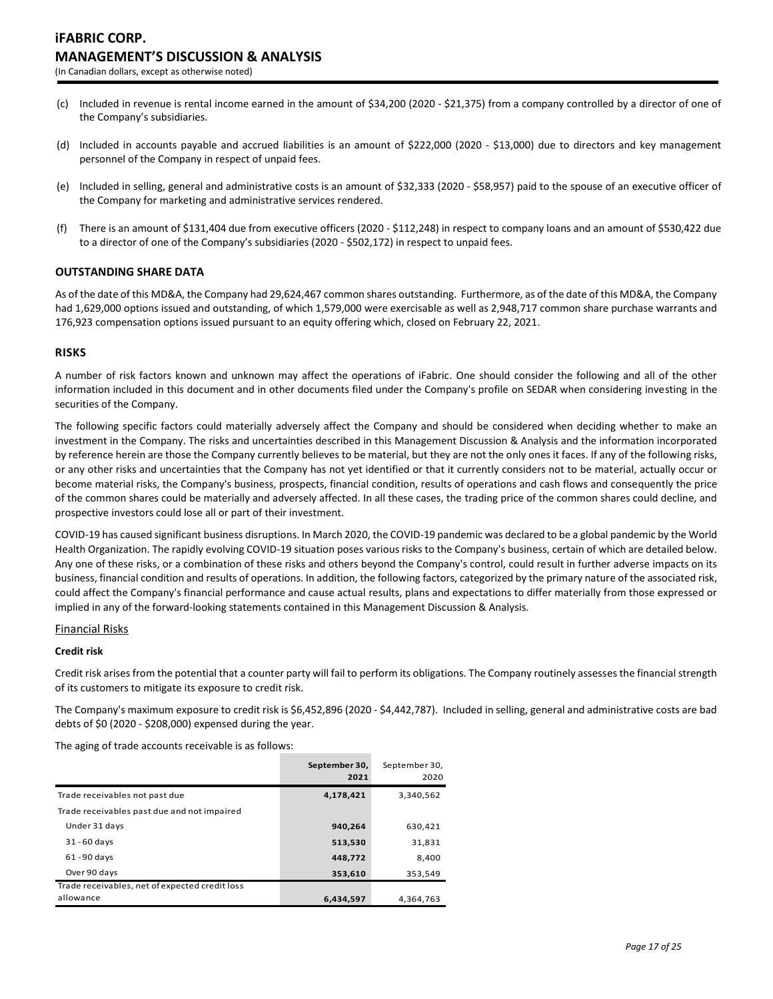- (c) Included in revenue is rental income earned in the amount of \$34,200 (2020 \$21,375) from a company controlled by a director of one of the Company's subsidiaries.
- (d) Included in accounts payable and accrued liabilities is an amount of \$222,000 (2020 \$13,000) due to directors and key management personnel of the Company in respect of unpaid fees.
- (e) Included in selling, general and administrative costs is an amount of \$32,333 (2020 \$58,957) paid to the spouse of an executive officer of the Company for marketing and administrative services rendered.
- (f) There is an amount of \$131,404 due from executive officers (2020 \$112,248) in respect to company loans and an amount of \$530,422 due to a director of one of the Company's subsidiaries (2020 - \$502,172) in respect to unpaid fees.

# **OUTSTANDING SHARE DATA**

As of the date of this MD&A, the Company had 29,624,467 common shares outstanding. Furthermore, as of the date of this MD&A, the Company had 1,629,000 options issued and outstanding, of which 1,579,000 were exercisable as well as 2,948,717 common share purchase warrants and 176,923 compensation options issued pursuant to an equity offering which, closed on February 22, 2021.

### **RISKS**

A number of risk factors known and unknown may affect the operations of iFabric. One should consider the following and all of the other information included in this document and in other documents filed under the Company's profile on SEDAR when considering investing in the securities of the Company.

The following specific factors could materially adversely affect the Company and should be considered when deciding whether to make an investment in the Company. The risks and uncertainties described in this Management Discussion & Analysis and the information incorporated by reference herein are those the Company currently believes to be material, but they are not the only ones it faces. If any of the following risks, or any other risks and uncertainties that the Company has not yet identified or that it currently considers not to be material, actually occur or become material risks, the Company's business, prospects, financial condition, results of operations and cash flows and consequently the price of the common shares could be materially and adversely affected. In all these cases, the trading price of the common shares could decline, and prospective investors could lose all or part of their investment.

COVID-19 has caused significant business disruptions. In March 2020, the COVID-19 pandemic was declared to be a global pandemic by the World Health Organization. The rapidly evolving COVID-19 situation poses various risks to the Company's business, certain of which are detailed below. Any one of these risks, or a combination of these risks and others beyond the Company's control, could result in further adverse impacts on its business, financial condition and results of operations. In addition, the following factors, categorized by the primary nature of the associated risk, could affect the Company's financial performance and cause actual results, plans and expectations to differ materially from those expressed or implied in any of the forward-looking statements contained in this Management Discussion & Analysis.

#### Financial Risks

### **Credit risk**

Credit risk arises from the potential that a counter party will fail to perform its obligations. The Company routinely assesses the financial strength of its customers to mitigate its exposure to credit risk.

The Company's maximum exposure to credit risk is \$6,452,896 (2020 - \$4,442,787). Included in selling, general and administrative costs are bad debts of \$0 (2020 - \$208,000) expensed during the year.

The aging of trade accounts receivable is as follows:

|                                                | September 30,<br>2021 | September 30,<br>2020 |
|------------------------------------------------|-----------------------|-----------------------|
| Trade receivables not past due                 | 4,178,421             | 3,340,562             |
| Trade receivables past due and not impaired    |                       |                       |
| Under 31 days                                  | 940,264               | 630,421               |
| $31 - 60$ days                                 | 513,530               | 31,831                |
| $61 - 90$ days                                 | 448,772               | 8,400                 |
| Over 90 days                                   | 353,610               | 353,549               |
| Trade receivables, net of expected credit loss |                       |                       |
| allowance                                      | 6,434,597             | 4,364,763             |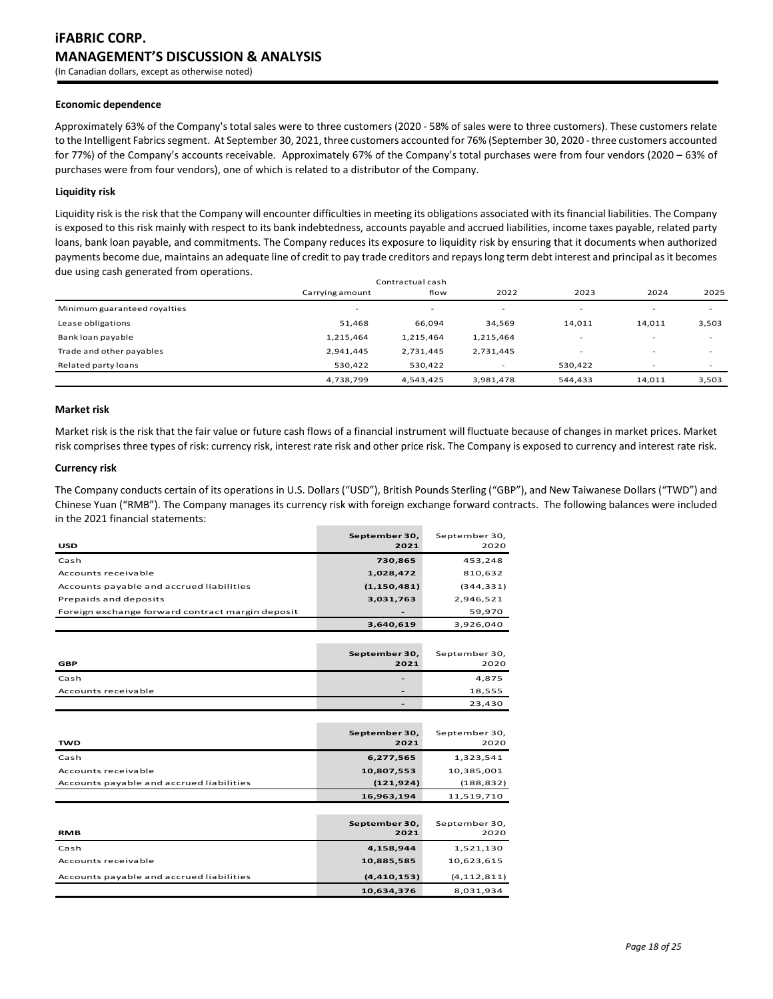#### **Economic dependence**

Approximately 63% of the Company's total sales were to three customers (2020 - 58% of sales were to three customers). These customers relate to the Intelligent Fabrics segment. At September 30, 2021, three customers accounted for 76% (September 30, 2020 - three customers accounted for 77%) of the Company's accounts receivable. Approximately 67% of the Company's total purchases were from four vendors (2020 – 63% of purchases were from four vendors), one of which is related to a distributor of the Company.

#### **Liquidity risk**

Liquidity risk is the risk that the Company will encounter difficulties in meeting its obligations associated with its financial liabilities. The Company is exposed to this risk mainly with respect to its bank indebtedness, accounts payable and accrued liabilities, income taxes payable, related party loans, bank loan payable, and commitments. The Company reduces its exposure to liquidity risk by ensuring that it documents when authorized payments become due, maintains an adequate line of credit to pay trade creditors and repays long term debt interest and principal as it becomes due using cash generated from operations.

| Contractual cash             |                          |           |           |                          |                          |       |
|------------------------------|--------------------------|-----------|-----------|--------------------------|--------------------------|-------|
|                              | Carrying amount          | flow      | 2022      | 2023                     | 2024                     | 2025  |
| Minimum guaranteed royalties | $\overline{\phantom{a}}$ | $\sim$    | $\sim$    | $\overline{\phantom{a}}$ | $\overline{\phantom{a}}$ |       |
| Lease obligations            | 51,468                   | 66,094    | 34,569    | 14,011                   | 14,011                   | 3,503 |
| Bank loan payable            | 1,215,464                | 1,215,464 | 1,215,464 | $\overline{\phantom{a}}$ | $\overline{\phantom{a}}$ |       |
| Trade and other payables     | 2,941,445                | 2,731,445 | 2,731,445 | $\overline{\phantom{a}}$ | $\overline{\phantom{a}}$ |       |
| Related party loans          | 530,422                  | 530,422   |           | 530.422                  | $\overline{\phantom{a}}$ |       |
|                              | 4,738,799                | 4,543,425 | 3,981,478 | 544,433                  | 14,011                   | 3,503 |

### **Market risk**

Market risk is the risk that the fair value or future cash flows of a financial instrument will fluctuate because of changes in market prices. Market risk comprises three types of risk: currency risk, interest rate risk and other price risk. The Company is exposed to currency and interest rate risk.

#### **Currency risk**

The Company conducts certain of its operations in U.S. Dollars ("USD"), British Pounds Sterling ("GBP"), and New Taiwanese Dollars ("TWD") and Chinese Yuan ("RMB"). The Company manages its currency risk with foreign exchange forward contracts. The following balances were included in the 2021 financial statements:

| <b>USD</b>                                       | September 30,<br>2021 | September 30,<br>2020 |
|--------------------------------------------------|-----------------------|-----------------------|
| Cash                                             | 730,865               | 453,248               |
| Accounts receivable                              | 1,028,472             | 810,632               |
| Accounts payable and accrued liabilities         | (1, 150, 481)         | (344, 331)            |
| Prepaids and deposits                            | 3,031,763             | 2,946,521             |
| Foreign exchange forward contract margin deposit |                       | 59,970                |
|                                                  | 3,640,619             | 3,926,040             |
|                                                  |                       |                       |
| <b>GBP</b>                                       | September 30,<br>2021 | September 30,<br>2020 |
| Cash                                             |                       | 4,875                 |
| Accounts receivable                              |                       | 18,555                |
|                                                  |                       | 23,430                |
|                                                  |                       |                       |
| <b>TWD</b>                                       | September 30,<br>2021 | September 30,<br>2020 |
| Cash                                             | 6,277,565             | 1,323,541             |
| Accounts receivable                              | 10,807,553            | 10,385,001            |
| Accounts payable and accrued liabilities         | (121, 924)            | (188, 832)            |
|                                                  | 16,963,194            | 11,519,710            |
|                                                  |                       |                       |
| <b>RMB</b>                                       | September 30,<br>2021 | September 30,<br>2020 |
| Cash                                             | 4,158,944             | 1,521,130             |
| Accounts receivable                              | 10,885,585            | 10,623,615            |
|                                                  |                       |                       |
| Accounts payable and accrued liabilities         | (4, 410, 153)         | (4, 112, 811)         |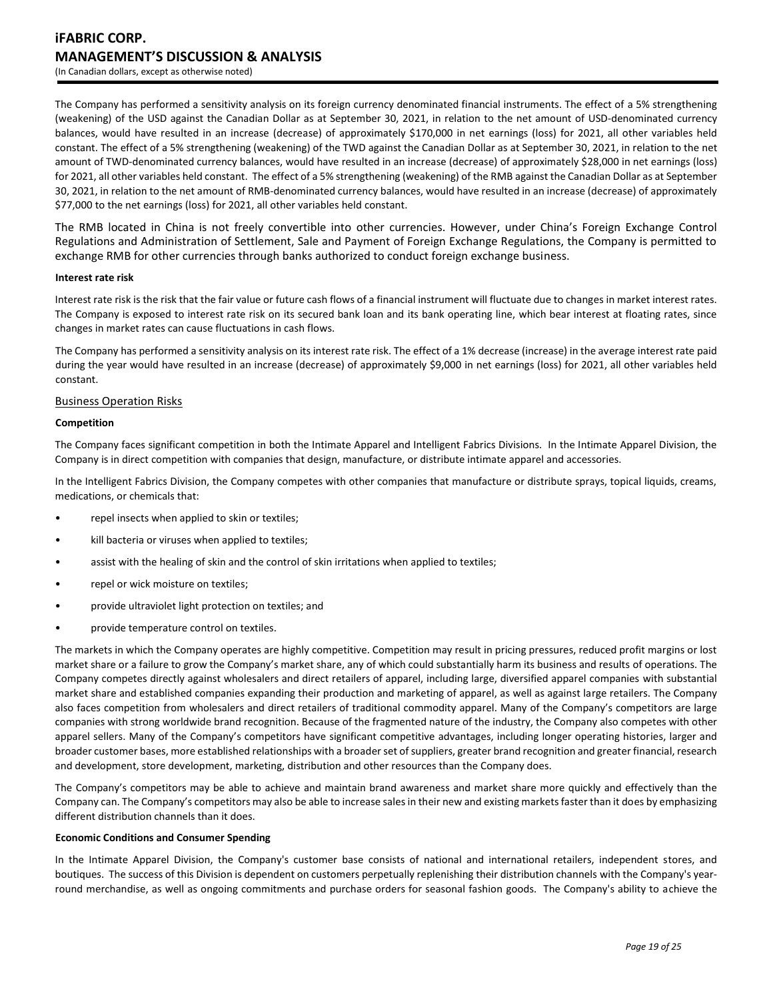The Company has performed a sensitivity analysis on its foreign currency denominated financial instruments. The effect of a 5% strengthening (weakening) of the USD against the Canadian Dollar as at September 30, 2021, in relation to the net amount of USD-denominated currency balances, would have resulted in an increase (decrease) of approximately \$170,000 in net earnings (loss) for 2021, all other variables held constant. The effect of a 5% strengthening (weakening) of the TWD against the Canadian Dollar as at September 30, 2021, in relation to the net amount of TWD-denominated currency balances, would have resulted in an increase (decrease) of approximately \$28,000 in net earnings (loss) for 2021, all other variables held constant. The effect of a 5% strengthening (weakening) of the RMB against the Canadian Dollar as at September 30, 2021, in relation to the net amount of RMB-denominated currency balances, would have resulted in an increase (decrease) of approximately \$77,000 to the net earnings (loss) for 2021, all other variables held constant.

The RMB located in China is not freely convertible into other currencies. However, under China's Foreign Exchange Control Regulations and Administration of Settlement, Sale and Payment of Foreign Exchange Regulations, the Company is permitted to exchange RMB for other currencies through banks authorized to conduct foreign exchange business.

### **Interest rate risk**

Interest rate risk is the risk that the fair value or future cash flows of a financial instrument will fluctuate due to changes in market interest rates. The Company is exposed to interest rate risk on its secured bank loan and its bank operating line, which bear interest at floating rates, since changes in market rates can cause fluctuations in cash flows.

The Company has performed a sensitivity analysis on its interest rate risk. The effect of a 1% decrease (increase) in the average interest rate paid during the year would have resulted in an increase (decrease) of approximately \$9,000 in net earnings (loss) for 2021, all other variables held constant.

### Business Operation Risks

### **Competition**

The Company faces significant competition in both the Intimate Apparel and Intelligent Fabrics Divisions. In the Intimate Apparel Division, the Company is in direct competition with companies that design, manufacture, or distribute intimate apparel and accessories.

In the Intelligent Fabrics Division, the Company competes with other companies that manufacture or distribute sprays, topical liquids, creams, medications, or chemicals that:

- repel insects when applied to skin or textiles;
- kill bacteria or viruses when applied to textiles;
- assist with the healing of skin and the control of skin irritations when applied to textiles;
- repel or wick moisture on textiles;
- provide ultraviolet light protection on textiles; and
- provide temperature control on textiles.

The markets in which the Company operates are highly competitive. Competition may result in pricing pressures, reduced profit margins or lost market share or a failure to grow the Company's market share, any of which could substantially harm its business and results of operations. The Company competes directly against wholesalers and direct retailers of apparel, including large, diversified apparel companies with substantial market share and established companies expanding their production and marketing of apparel, as well as against large retailers. The Company also faces competition from wholesalers and direct retailers of traditional commodity apparel. Many of the Company's competitors are large companies with strong worldwide brand recognition. Because of the fragmented nature of the industry, the Company also competes with other apparel sellers. Many of the Company's competitors have significant competitive advantages, including longer operating histories, larger and broader customer bases, more established relationships with a broader set of suppliers, greater brand recognition and greater financial, research and development, store development, marketing, distribution and other resources than the Company does.

The Company's competitors may be able to achieve and maintain brand awareness and market share more quickly and effectively than the Company can. The Company's competitors may also be able to increase sales in their new and existing markets faster than it does by emphasizing different distribution channels than it does.

### **Economic Conditions and Consumer Spending**

In the Intimate Apparel Division, the Company's customer base consists of national and international retailers, independent stores, and boutiques. The success of this Division is dependent on customers perpetually replenishing their distribution channels with the Company's yearround merchandise, as well as ongoing commitments and purchase orders for seasonal fashion goods. The Company's ability to achieve the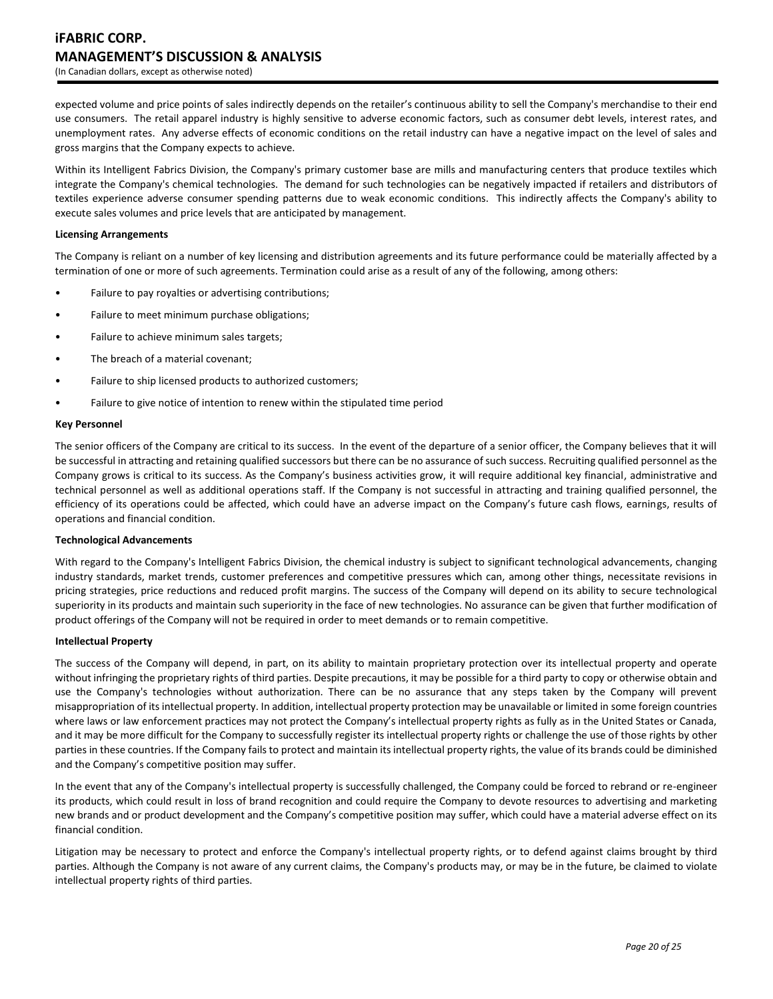expected volume and price points of sales indirectly depends on the retailer's continuous ability to sell the Company's merchandise to their end use consumers. The retail apparel industry is highly sensitive to adverse economic factors, such as consumer debt levels, interest rates, and unemployment rates. Any adverse effects of economic conditions on the retail industry can have a negative impact on the level of sales and gross margins that the Company expects to achieve.

Within its Intelligent Fabrics Division, the Company's primary customer base are mills and manufacturing centers that produce textiles which integrate the Company's chemical technologies. The demand for such technologies can be negatively impacted if retailers and distributors of textiles experience adverse consumer spending patterns due to weak economic conditions. This indirectly affects the Company's ability to execute sales volumes and price levels that are anticipated by management.

### **Licensing Arrangements**

The Company is reliant on a number of key licensing and distribution agreements and its future performance could be materially affected by a termination of one or more of such agreements. Termination could arise as a result of any of the following, among others:

- Failure to pay royalties or advertising contributions;
- Failure to meet minimum purchase obligations;
- Failure to achieve minimum sales targets;
- The breach of a material covenant;
- Failure to ship licensed products to authorized customers;
- Failure to give notice of intention to renew within the stipulated time period

### **Key Personnel**

The senior officers of the Company are critical to its success. In the event of the departure of a senior officer, the Company believes that it will be successful in attracting and retaining qualified successors but there can be no assurance of such success. Recruiting qualified personnel as the Company grows is critical to its success. As the Company's business activities grow, it will require additional key financial, administrative and technical personnel as well as additional operations staff. If the Company is not successful in attracting and training qualified personnel, the efficiency of its operations could be affected, which could have an adverse impact on the Company's future cash flows, earnings, results of operations and financial condition.

### **Technological Advancements**

With regard to the Company's Intelligent Fabrics Division, the chemical industry is subject to significant technological advancements, changing industry standards, market trends, customer preferences and competitive pressures which can, among other things, necessitate revisions in pricing strategies, price reductions and reduced profit margins. The success of the Company will depend on its ability to secure technological superiority in its products and maintain such superiority in the face of new technologies. No assurance can be given that further modification of product offerings of the Company will not be required in order to meet demands or to remain competitive.

#### **Intellectual Property**

The success of the Company will depend, in part, on its ability to maintain proprietary protection over its intellectual property and operate without infringing the proprietary rights of third parties. Despite precautions, it may be possible for a third party to copy or otherwise obtain and use the Company's technologies without authorization. There can be no assurance that any steps taken by the Company will prevent misappropriation of its intellectual property. In addition, intellectual property protection may be unavailable or limited in some foreign countries where laws or law enforcement practices may not protect the Company's intellectual property rights as fully as in the United States or Canada, and it may be more difficult for the Company to successfully register its intellectual property rights or challenge the use of those rights by other parties in these countries. If the Company fails to protect and maintain its intellectual property rights, the value of its brands could be diminished and the Company's competitive position may suffer.

In the event that any of the Company's intellectual property is successfully challenged, the Company could be forced to rebrand or re-engineer its products, which could result in loss of brand recognition and could require the Company to devote resources to advertising and marketing new brands and or product development and the Company's competitive position may suffer, which could have a material adverse effect on its financial condition.

Litigation may be necessary to protect and enforce the Company's intellectual property rights, or to defend against claims brought by third parties. Although the Company is not aware of any current claims, the Company's products may, or may be in the future, be claimed to violate intellectual property rights of third parties.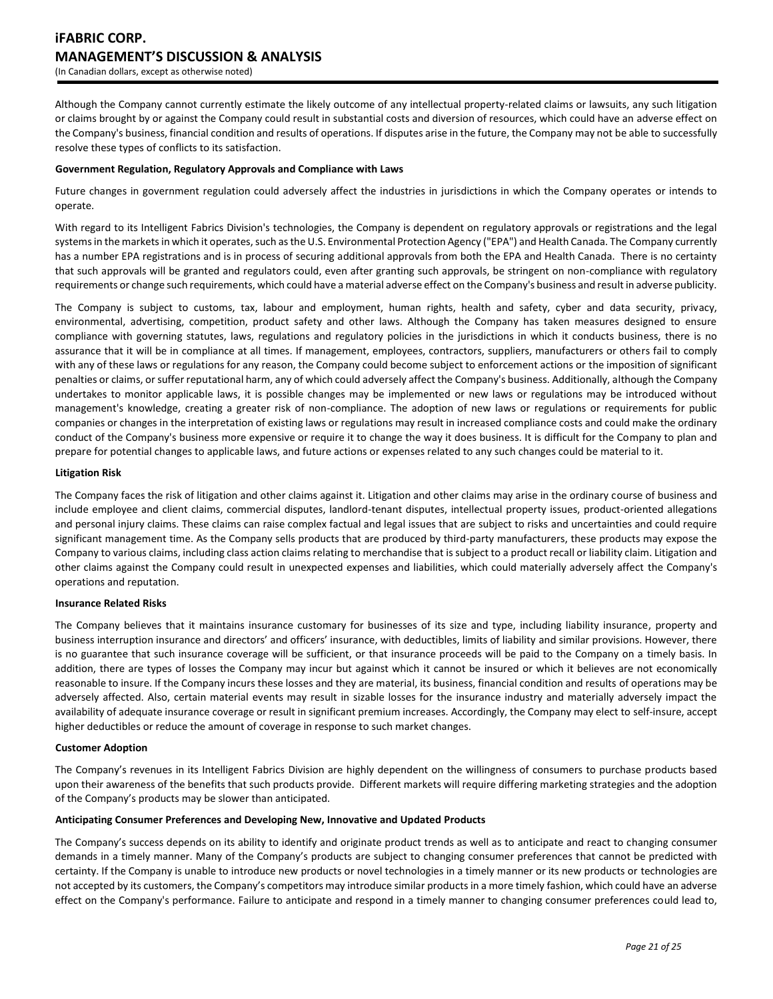Although the Company cannot currently estimate the likely outcome of any intellectual property-related claims or lawsuits, any such litigation or claims brought by or against the Company could result in substantial costs and diversion of resources, which could have an adverse effect on the Company's business, financial condition and results of operations. If disputes arise in the future, the Company may not be able to successfully resolve these types of conflicts to its satisfaction.

# **Government Regulation, Regulatory Approvals and Compliance with Laws**

Future changes in government regulation could adversely affect the industries in jurisdictions in which the Company operates or intends to operate.

With regard to its Intelligent Fabrics Division's technologies, the Company is dependent on regulatory approvals or registrations and the legal systems in the markets in which it operates, such as the U.S. Environmental Protection Agency ("EPA") and Health Canada. The Company currently has a number EPA registrations and is in process of securing additional approvals from both the EPA and Health Canada. There is no certainty that such approvals will be granted and regulators could, even after granting such approvals, be stringent on non-compliance with regulatory requirements or change such requirements, which could have a material adverse effect on the Company's business and result in adverse publicity.

The Company is subject to customs, tax, labour and employment, human rights, health and safety, cyber and data security, privacy, environmental, advertising, competition, product safety and other laws. Although the Company has taken measures designed to ensure compliance with governing statutes, laws, regulations and regulatory policies in the jurisdictions in which it conducts business, there is no assurance that it will be in compliance at all times. If management, employees, contractors, suppliers, manufacturers or others fail to comply with any of these laws or regulations for any reason, the Company could become subject to enforcement actions or the imposition of significant penalties or claims, or suffer reputational harm, any of which could adversely affect the Company's business. Additionally, although the Company undertakes to monitor applicable laws, it is possible changes may be implemented or new laws or regulations may be introduced without management's knowledge, creating a greater risk of non-compliance. The adoption of new laws or regulations or requirements for public companies or changes in the interpretation of existing laws or regulations may result in increased compliance costs and could make the ordinary conduct of the Company's business more expensive or require it to change the way it does business. It is difficult for the Company to plan and prepare for potential changes to applicable laws, and future actions or expenses related to any such changes could be material to it.

### **Litigation Risk**

The Company faces the risk of litigation and other claims against it. Litigation and other claims may arise in the ordinary course of business and include employee and client claims, commercial disputes, landlord-tenant disputes, intellectual property issues, product-oriented allegations and personal injury claims. These claims can raise complex factual and legal issues that are subject to risks and uncertainties and could require significant management time. As the Company sells products that are produced by third-party manufacturers, these products may expose the Company to various claims, including class action claims relating to merchandise that is subject to a product recall or liability claim. Litigation and other claims against the Company could result in unexpected expenses and liabilities, which could materially adversely affect the Company's operations and reputation.

### **Insurance Related Risks**

The Company believes that it maintains insurance customary for businesses of its size and type, including liability insurance, property and business interruption insurance and directors' and officers' insurance, with deductibles, limits of liability and similar provisions. However, there is no guarantee that such insurance coverage will be sufficient, or that insurance proceeds will be paid to the Company on a timely basis. In addition, there are types of losses the Company may incur but against which it cannot be insured or which it believes are not economically reasonable to insure. If the Company incurs these losses and they are material, its business, financial condition and results of operations may be adversely affected. Also, certain material events may result in sizable losses for the insurance industry and materially adversely impact the availability of adequate insurance coverage or result in significant premium increases. Accordingly, the Company may elect to self-insure, accept higher deductibles or reduce the amount of coverage in response to such market changes.

### **Customer Adoption**

The Company's revenues in its Intelligent Fabrics Division are highly dependent on the willingness of consumers to purchase products based upon their awareness of the benefits that such products provide. Different markets will require differing marketing strategies and the adoption of the Company's products may be slower than anticipated.

### **Anticipating Consumer Preferences and Developing New, Innovative and Updated Products**

The Company's success depends on its ability to identify and originate product trends as well as to anticipate and react to changing consumer demands in a timely manner. Many of the Company's products are subject to changing consumer preferences that cannot be predicted with certainty. If the Company is unable to introduce new products or novel technologies in a timely manner or its new products or technologies are not accepted by its customers, the Company's competitors may introduce similar products in a more timely fashion, which could have an adverse effect on the Company's performance. Failure to anticipate and respond in a timely manner to changing consumer preferences could lead to,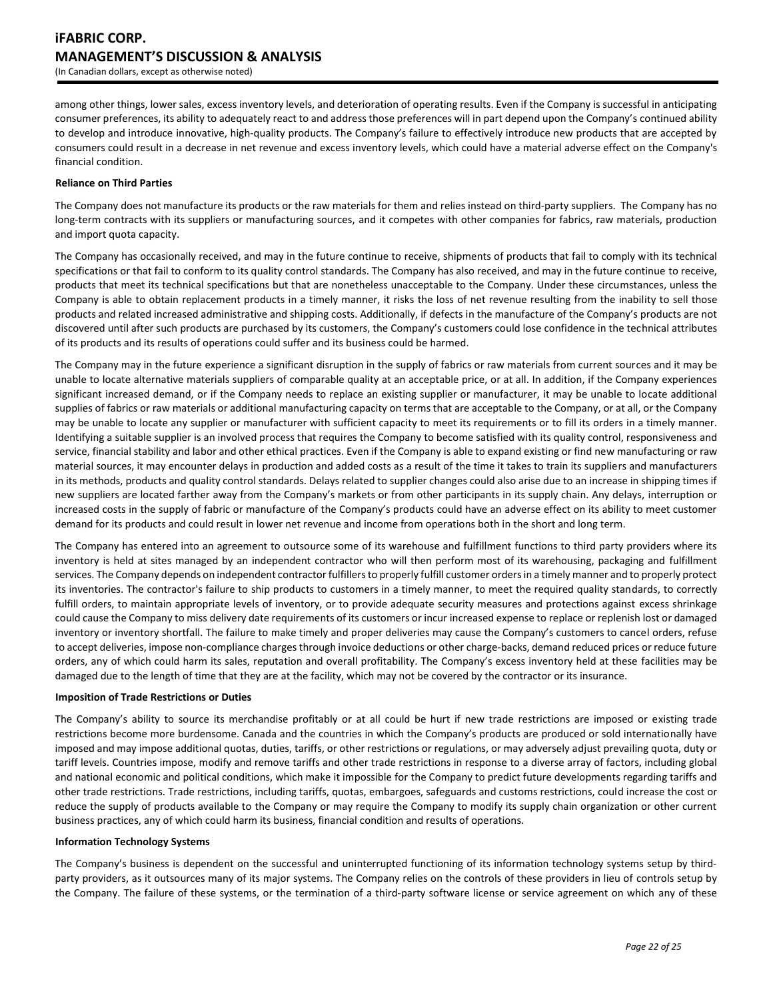among other things, lower sales, excess inventory levels, and deterioration of operating results. Even if the Company is successful in anticipating consumer preferences, its ability to adequately react to and address those preferences will in part depend upon the Company's continued ability to develop and introduce innovative, high-quality products. The Company's failure to effectively introduce new products that are accepted by consumers could result in a decrease in net revenue and excess inventory levels, which could have a material adverse effect on the Company's financial condition.

### **Reliance on Third Parties**

The Company does not manufacture its products or the raw materials for them and relies instead on third‐party suppliers. The Company has no long-term contracts with its suppliers or manufacturing sources, and it competes with other companies for fabrics, raw materials, production and import quota capacity.

The Company has occasionally received, and may in the future continue to receive, shipments of products that fail to comply with its technical specifications or that fail to conform to its quality control standards. The Company has also received, and may in the future continue to receive, products that meet its technical specifications but that are nonetheless unacceptable to the Company. Under these circumstances, unless the Company is able to obtain replacement products in a timely manner, it risks the loss of net revenue resulting from the inability to sell those products and related increased administrative and shipping costs. Additionally, if defects in the manufacture of the Company's products are not discovered until after such products are purchased by its customers, the Company's customers could lose confidence in the technical attributes of its products and its results of operations could suffer and its business could be harmed.

The Company may in the future experience a significant disruption in the supply of fabrics or raw materials from current sources and it may be unable to locate alternative materials suppliers of comparable quality at an acceptable price, or at all. In addition, if the Company experiences significant increased demand, or if the Company needs to replace an existing supplier or manufacturer, it may be unable to locate additional supplies of fabrics or raw materials or additional manufacturing capacity on terms that are acceptable to the Company, or at all, or the Company may be unable to locate any supplier or manufacturer with sufficient capacity to meet its requirements or to fill its orders in a timely manner. Identifying a suitable supplier is an involved process that requires the Company to become satisfied with its quality control, responsiveness and service, financial stability and labor and other ethical practices. Even if the Company is able to expand existing or find new manufacturing or raw material sources, it may encounter delays in production and added costs as a result of the time it takes to train its suppliers and manufacturers in its methods, products and quality control standards. Delays related to supplier changes could also arise due to an increase in shipping times if new suppliers are located farther away from the Company's markets or from other participants in its supply chain. Any delays, interruption or increased costs in the supply of fabric or manufacture of the Company's products could have an adverse effect on its ability to meet customer demand for its products and could result in lower net revenue and income from operations both in the short and long term.

The Company has entered into an agreement to outsource some of its warehouse and fulfillment functions to third party providers where its inventory is held at sites managed by an independent contractor who will then perform most of its warehousing, packaging and fulfillment services. The Company depends on independent contractor fulfillers to properly fulfill customer orders in a timely manner and to properly protect its inventories. The contractor's failure to ship products to customers in a timely manner, to meet the required quality standards, to correctly fulfill orders, to maintain appropriate levels of inventory, or to provide adequate security measures and protections against excess shrinkage could cause the Company to miss delivery date requirements of its customers or incur increased expense to replace or replenish lost or damaged inventory or inventory shortfall. The failure to make timely and proper deliveries may cause the Company's customers to cancel orders, refuse to accept deliveries, impose non-compliance charges through invoice deductions or other charge-backs, demand reduced prices or reduce future orders, any of which could harm its sales, reputation and overall profitability. The Company's excess inventory held at these facilities may be damaged due to the length of time that they are at the facility, which may not be covered by the contractor or its insurance.

### **Imposition of Trade Restrictions or Duties**

The Company's ability to source its merchandise profitably or at all could be hurt if new trade restrictions are imposed or existing trade restrictions become more burdensome. Canada and the countries in which the Company's products are produced or sold internationally have imposed and may impose additional quotas, duties, tariffs, or other restrictions or regulations, or may adversely adjust prevailing quota, duty or tariff levels. Countries impose, modify and remove tariffs and other trade restrictions in response to a diverse array of factors, including global and national economic and political conditions, which make it impossible for the Company to predict future developments regarding tariffs and other trade restrictions. Trade restrictions, including tariffs, quotas, embargoes, safeguards and customs restrictions, could increase the cost or reduce the supply of products available to the Company or may require the Company to modify its supply chain organization or other current business practices, any of which could harm its business, financial condition and results of operations.

#### **Information Technology Systems**

The Company's business is dependent on the successful and uninterrupted functioning of its information technology systems setup by third‐ party providers, as it outsources many of its major systems. The Company relies on the controls of these providers in lieu of controls setup by the Company. The failure of these systems, or the termination of a third‐party software license or service agreement on which any of these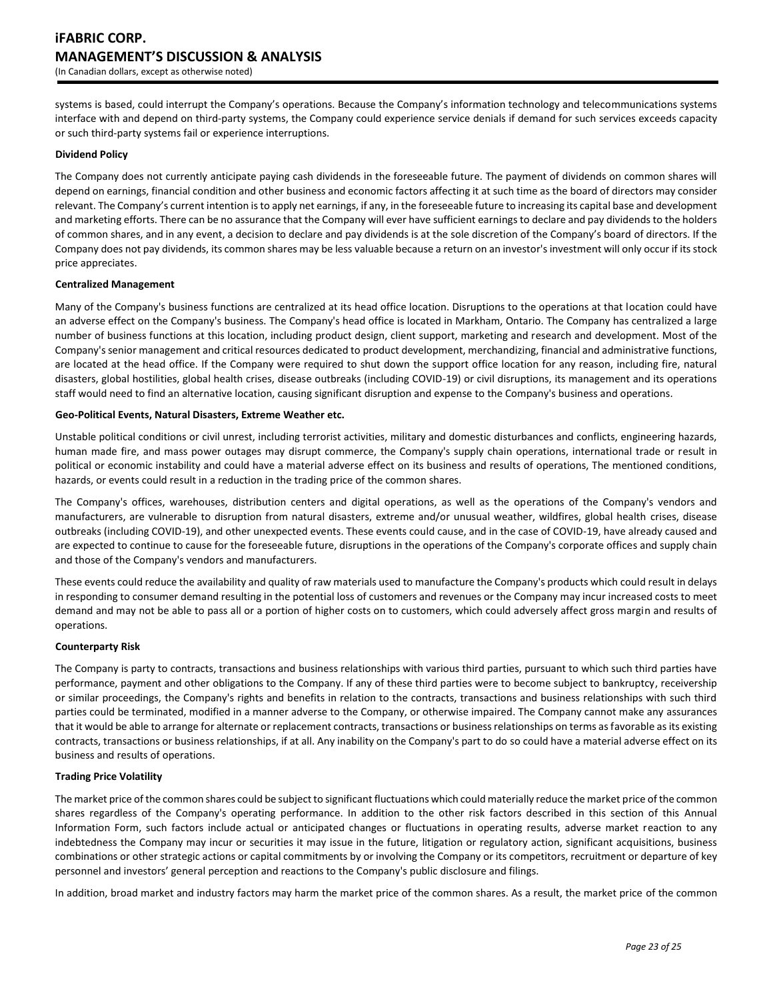systems is based, could interrupt the Company's operations. Because the Company's information technology and telecommunications systems interface with and depend on third‐party systems, the Company could experience service denials if demand for such services exceeds capacity or such third‐party systems fail or experience interruptions.

### **Dividend Policy**

The Company does not currently anticipate paying cash dividends in the foreseeable future. The payment of dividends on common shares will depend on earnings, financial condition and other business and economic factors affecting it at such time as the board of directors may consider relevant. The Company's current intention is to apply net earnings, if any, in the foreseeable future to increasing its capital base and development and marketing efforts. There can be no assurance that the Company will ever have sufficient earnings to declare and pay dividends to the holders of common shares, and in any event, a decision to declare and pay dividends is at the sole discretion of the Company's board of directors. If the Company does not pay dividends, its common shares may be less valuable because a return on an investor's investment will only occur if its stock price appreciates.

#### **Centralized Management**

Many of the Company's business functions are centralized at its head office location. Disruptions to the operations at that location could have an adverse effect on the Company's business. The Company's head office is located in Markham, Ontario. The Company has centralized a large number of business functions at this location, including product design, client support, marketing and research and development. Most of the Company's senior management and critical resources dedicated to product development, merchandizing, financial and administrative functions, are located at the head office. If the Company were required to shut down the support office location for any reason, including fire, natural disasters, global hostilities, global health crises, disease outbreaks (including COVID-19) or civil disruptions, its management and its operations staff would need to find an alternative location, causing significant disruption and expense to the Company's business and operations.

#### **Geo-Political Events, Natural Disasters, Extreme Weather etc.**

Unstable political conditions or civil unrest, including terrorist activities, military and domestic disturbances and conflicts, engineering hazards, human made fire, and mass power outages may disrupt commerce, the Company's supply chain operations, international trade or result in political or economic instability and could have a material adverse effect on its business and results of operations, The mentioned conditions, hazards, or events could result in a reduction in the trading price of the common shares.

The Company's offices, warehouses, distribution centers and digital operations, as well as the operations of the Company's vendors and manufacturers, are vulnerable to disruption from natural disasters, extreme and/or unusual weather, wildfires, global health crises, disease outbreaks (including COVID-19), and other unexpected events. These events could cause, and in the case of COVID-19, have already caused and are expected to continue to cause for the foreseeable future, disruptions in the operations of the Company's corporate offices and supply chain and those of the Company's vendors and manufacturers.

These events could reduce the availability and quality of raw materials used to manufacture the Company's products which could result in delays in responding to consumer demand resulting in the potential loss of customers and revenues or the Company may incur increased costs to meet demand and may not be able to pass all or a portion of higher costs on to customers, which could adversely affect gross margin and results of operations.

#### **Counterparty Risk**

The Company is party to contracts, transactions and business relationships with various third parties, pursuant to which such third parties have performance, payment and other obligations to the Company. If any of these third parties were to become subject to bankruptcy, receivership or similar proceedings, the Company's rights and benefits in relation to the contracts, transactions and business relationships with such third parties could be terminated, modified in a manner adverse to the Company, or otherwise impaired. The Company cannot make any assurances that it would be able to arrange for alternate or replacement contracts, transactions or business relationships on terms as favorable as its existing contracts, transactions or business relationships, if at all. Any inability on the Company's part to do so could have a material adverse effect on its business and results of operations.

# **Trading Price Volatility**

The market price of the common shares could be subject to significant fluctuations which could materially reduce the market price of the common shares regardless of the Company's operating performance. In addition to the other risk factors described in this section of this Annual Information Form, such factors include actual or anticipated changes or fluctuations in operating results, adverse market reaction to any indebtedness the Company may incur or securities it may issue in the future, litigation or regulatory action, significant acquisitions, business combinations or other strategic actions or capital commitments by or involving the Company or its competitors, recruitment or departure of key personnel and investors' general perception and reactions to the Company's public disclosure and filings.

In addition, broad market and industry factors may harm the market price of the common shares. As a result, the market price of the common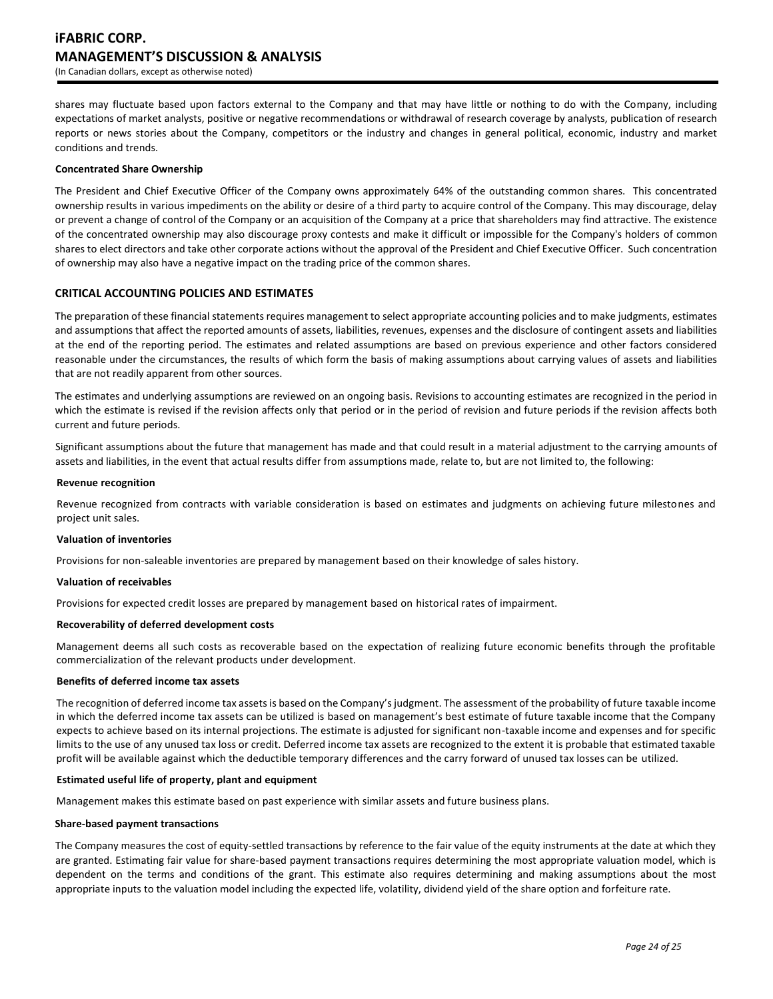shares may fluctuate based upon factors external to the Company and that may have little or nothing to do with the Company, including expectations of market analysts, positive or negative recommendations or withdrawal of research coverage by analysts, publication of research reports or news stories about the Company, competitors or the industry and changes in general political, economic, industry and market conditions and trends.

### **Concentrated Share Ownership**

The President and Chief Executive Officer of the Company owns approximately 64% of the outstanding common shares. This concentrated ownership results in various impediments on the ability or desire of a third party to acquire control of the Company. This may discourage, delay or prevent a change of control of the Company or an acquisition of the Company at a price that shareholders may find attractive. The existence of the concentrated ownership may also discourage proxy contests and make it difficult or impossible for the Company's holders of common shares to elect directors and take other corporate actions without the approval of the President and Chief Executive Officer. Such concentration of ownership may also have a negative impact on the trading price of the common shares.

# **CRITICAL ACCOUNTING POLICIES AND ESTIMATES**

The preparation of these financial statements requires management to select appropriate accounting policies and to make judgments, estimates and assumptions that affect the reported amounts of assets, liabilities, revenues, expenses and the disclosure of contingent assets and liabilities at the end of the reporting period. The estimates and related assumptions are based on previous experience and other factors considered reasonable under the circumstances, the results of which form the basis of making assumptions about carrying values of assets and liabilities that are not readily apparent from other sources.

The estimates and underlying assumptions are reviewed on an ongoing basis. Revisions to accounting estimates are recognized in the period in which the estimate is revised if the revision affects only that period or in the period of revision and future periods if the revision affects both current and future periods.

Significant assumptions about the future that management has made and that could result in a material adjustment to the carrying amounts of assets and liabilities, in the event that actual results differ from assumptions made, relate to, but are not limited to, the following:

#### **Revenue recognition**

Revenue recognized from contracts with variable consideration is based on estimates and judgments on achieving future milestones and project unit sales.

### **Valuation of inventories**

Provisions for non-saleable inventories are prepared by management based on their knowledge of sales history.

#### **Valuation of receivables**

Provisions for expected credit losses are prepared by management based on historical rates of impairment.

### **Recoverability of deferred development costs**

Management deems all such costs as recoverable based on the expectation of realizing future economic benefits through the profitable commercialization of the relevant products under development.

#### **Benefits of deferred income tax assets**

The recognition of deferred income tax assets is based on the Company's judgment. The assessment of the probability of future taxable income in which the deferred income tax assets can be utilized is based on management's best estimate of future taxable income that the Company expects to achieve based on its internal projections. The estimate is adjusted for significant non-taxable income and expenses and for specific limits to the use of any unused tax loss or credit. Deferred income tax assets are recognized to the extent it is probable that estimated taxable profit will be available against which the deductible temporary differences and the carry forward of unused tax losses can be utilized.

### **Estimated useful life of property, plant and equipment**

Management makes this estimate based on past experience with similar assets and future business plans.

#### **Share-based payment transactions**

The Company measures the cost of equity-settled transactions by reference to the fair value of the equity instruments at the date at which they are granted. Estimating fair value for share-based payment transactions requires determining the most appropriate valuation model, which is dependent on the terms and conditions of the grant. This estimate also requires determining and making assumptions about the most appropriate inputs to the valuation model including the expected life, volatility, dividend yield of the share option and forfeiture rate.